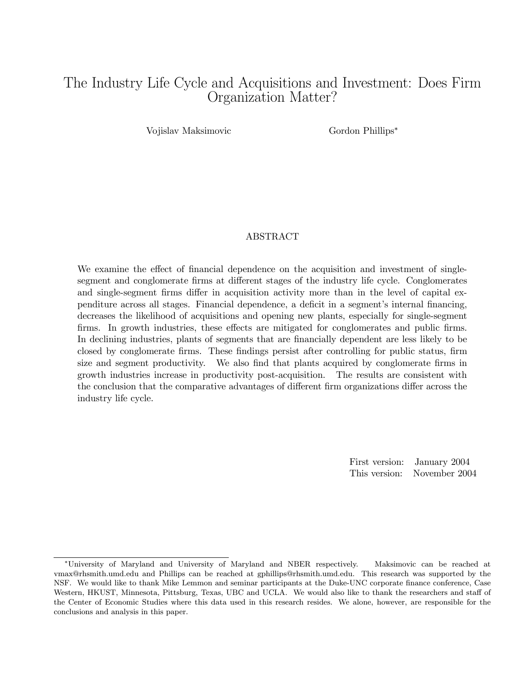# The Industry Life Cycle and Acquisitions and Investment: Does Firm Organization Matter?

Vojislav Maksimovic Gordon Phillips<sup>∗</sup>

#### ABSTRACT

We examine the effect of financial dependence on the acquisition and investment of singlesegment and conglomerate firms at different stages of the industry life cycle. Conglomerates and single-segment firms differ in acquisition activity more than in the level of capital expenditure across all stages. Financial dependence, a deficit in a segment's internal financing, decreases the likelihood of acquisitions and opening new plants, especially for single-segment firms. In growth industries, these effects are mitigated for conglomerates and public firms. In declining industries, plants of segments that are financially dependent are less likely to be closed by conglomerate firms. These findings persist after controlling for public status, firm size and segment productivity. We also find that plants acquired by conglomerate firms in growth industries increase in productivity post-acquisition. The results are consistent with the conclusion that the comparative advantages of different firm organizations differ across the industry life cycle.

> First version: January 2004 This version: November 2004

<sup>∗</sup>University of Maryland and University of Maryland and NBER respectively. Maksimovic can be reached at vmax@rhsmith.umd.edu and Phillips can be reached at gphillips@rhsmith.umd.edu. This research was supported by the NSF. We would like to thank Mike Lemmon and seminar participants at the Duke-UNC corporate finance conference, Case Western, HKUST, Minnesota, Pittsburg, Texas, UBC and UCLA. We would also like to thank the researchers and staff of the Center of Economic Studies where this data used in this research resides. We alone, however, are responsible for the conclusions and analysis in this paper.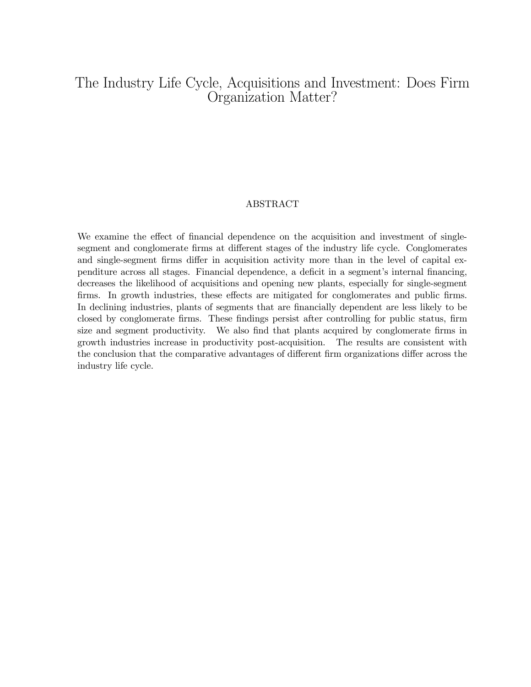# The Industry Life Cycle, Acquisitions and Investment: Does Firm Organization Matter?

#### ABSTRACT

We examine the effect of financial dependence on the acquisition and investment of singlesegment and conglomerate firms at different stages of the industry life cycle. Conglomerates and single-segment firms differ in acquisition activity more than in the level of capital expenditure across all stages. Financial dependence, a deficit in a segment's internal financing, decreases the likelihood of acquisitions and opening new plants, especially for single-segment firms. In growth industries, these effects are mitigated for conglomerates and public firms. In declining industries, plants of segments that are financially dependent are less likely to be closed by conglomerate firms. These findings persist after controlling for public status, firm size and segment productivity. We also find that plants acquired by conglomerate firms in growth industries increase in productivity post-acquisition. The results are consistent with the conclusion that the comparative advantages of different firm organizations differ across the industry life cycle.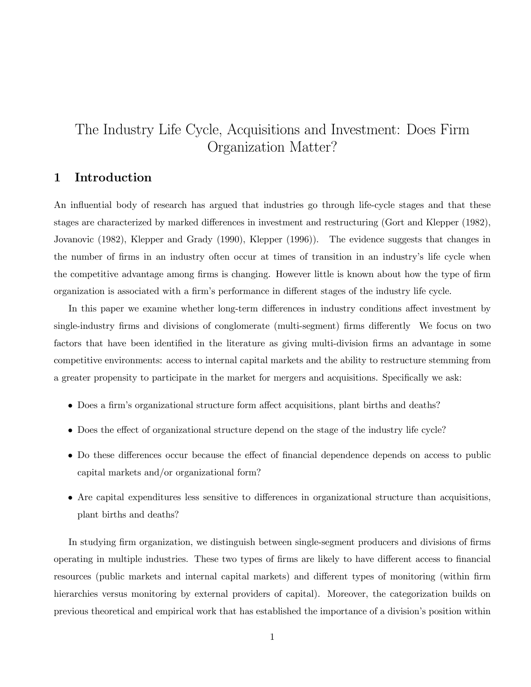# The Industry Life Cycle, Acquisitions and Investment: Does Firm Organization Matter?

## 1 Introduction

An influential body of research has argued that industries go through life-cycle stages and that these stages are characterized by marked differences in investment and restructuring (Gort and Klepper (1982), Jovanovic (1982), Klepper and Grady (1990), Klepper (1996)). The evidence suggests that changes in the number of firms in an industry often occur at times of transition in an industry's life cycle when the competitive advantage among firms is changing. However little is known about how the type of firm organization is associated with a firm's performance in different stages of the industry life cycle.

In this paper we examine whether long-term differences in industry conditions affect investment by single-industry firms and divisions of conglomerate (multi-segment) firms differently We focus on two factors that have been identified in the literature as giving multi-division firms an advantage in some competitive environments: access to internal capital markets and the ability to restructure stemming from a greater propensity to participate in the market for mergers and acquisitions. Specifically we ask:

- Does a firm's organizational structure form affect acquisitions, plant births and deaths?
- Does the effect of organizational structure depend on the stage of the industry life cycle?
- Do these differences occur because the effect of financial dependence depends on access to public capital markets and/or organizational form?
- Are capital expenditures less sensitive to differences in organizational structure than acquisitions, plant births and deaths?

In studying firm organization, we distinguish between single-segment producers and divisions of firms operating in multiple industries. These two types of firms are likely to have different access to financial resources (public markets and internal capital markets) and different types of monitoring (within firm hierarchies versus monitoring by external providers of capital). Moreover, the categorization builds on previous theoretical and empirical work that has established the importance of a division's position within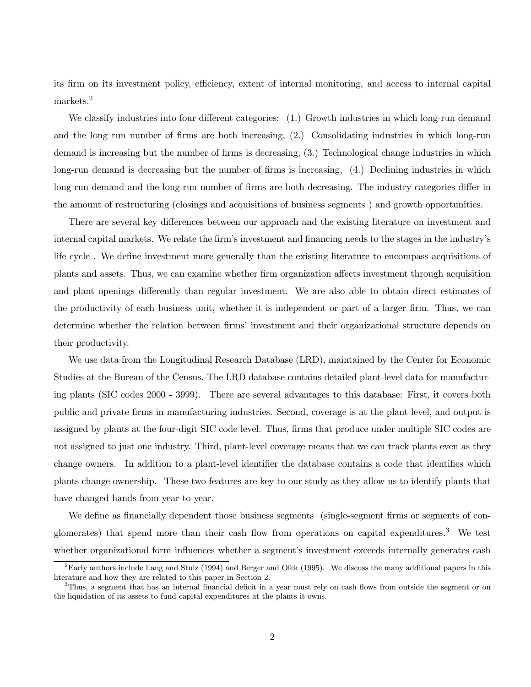its firm on its investment policy, efficiency, extent of internal monitoring, and access to internal capital markets.<sup>2</sup>

We classify industries into four different categories:  $(1)$  Growth industries in which long-run demand and the long run number of firms are both increasing, (2.) Consolidating industries in which long-run demand is increasing but the number of firms is decreasing, (3.) Technological change industries in which long-run demand is decreasing but the number of firms is increasing, (4.) Declining industries in which long-run demand and the long-run number of firms are both decreasing. The industry categories differ in the amount of restructuring (closings and acquisitions of business segments ) and growth opportunities.

There are several key differences between our approach and the existing literature on investment and internal capital markets. We relate the firm's investment and financing needs to the stages in the industry's life cycle . We define investment more generally than the existing literature to encompass acquisitions of plants and assets. Thus, we can examine whether firm organization affects investment through acquisition and plant openings differently than regular investment. We are also able to obtain direct estimates of the productivity of each business unit, whether it is independent or part of a larger firm. Thus, we can determine whether the relation between firms' investment and their organizational structure depends on their productivity.

We use data from the Longitudinal Research Database (LRD), maintained by the Center for Economic Studies at the Bureau of the Census. The LRD database contains detailed plant-level data for manufacturing plants (SIC codes 2000 - 3999). There are several advantages to this database: First, it covers both public and private firms in manufacturing industries. Second, coverage is at the plant level, and output is assigned by plants at the four-digit SIC code level. Thus, firms that produce under multiple SIC codes are not assigned to just one industry. Third, plant-level coverage means that we can track plants even as they change owners. In addition to a plant-level identifier the database contains a code that identifies which plants change ownership. These two features are key to our study as they allow us to identify plants that have changed hands from year-to-year.

We define as financially dependent those business segments (single-segment firms or segments of conglomerates) that spend more than their cash flow from operations on capital expenditures.<sup>3</sup> We test whether organizational form influences whether a segment's investment exceeds internally generates cash

 ${}^{2}$ Early authors include Lang and Stulz (1994) and Berger and Ofek (1995). We discuss the many additional papers in this literature and how they are related to this paper in Section 2.

 $3$ Thus, a segment that has an internal financial deficit in a year must rely on cash flows from outside the segment or on the liquidation of its assets to fund capital expenditures at the plants it owns.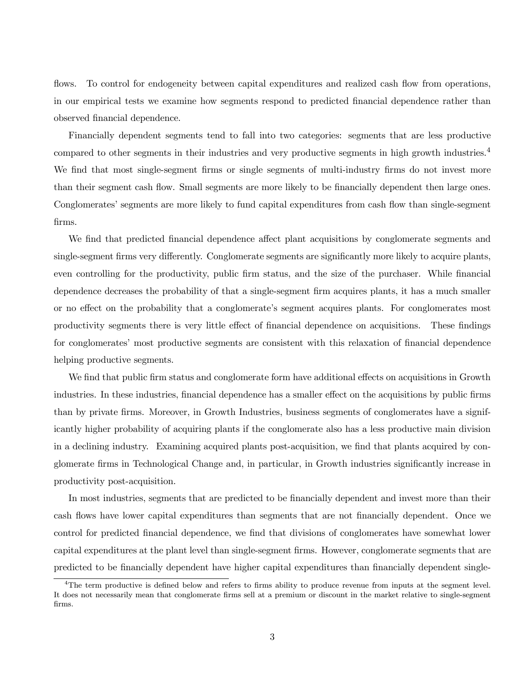flows. To control for endogeneity between capital expenditures and realized cash flow from operations, in our empirical tests we examine how segments respond to predicted financial dependence rather than observed financial dependence.

Financially dependent segments tend to fall into two categories: segments that are less productive compared to other segments in their industries and very productive segments in high growth industries.<sup>4</sup> We find that most single-segment firms or single segments of multi-industry firms do not invest more than their segment cash flow. Small segments are more likely to be financially dependent then large ones. Conglomerates' segments are more likely to fund capital expenditures from cash flow than single-segment firms.

We find that predicted financial dependence affect plant acquisitions by conglomerate segments and single-segment firms very differently. Conglomerate segments are significantly more likely to acquire plants, even controlling for the productivity, public firm status, and the size of the purchaser. While financial dependence decreases the probability of that a single-segment firm acquires plants, it has a much smaller or no effect on the probability that a conglomerate's segment acquires plants. For conglomerates most productivity segments there is very little effect of financial dependence on acquisitions. These findings for conglomerates' most productive segments are consistent with this relaxation of financial dependence helping productive segments.

We find that public firm status and conglomerate form have additional effects on acquisitions in Growth industries. In these industries, financial dependence has a smaller effect on the acquisitions by public firms than by private firms. Moreover, in Growth Industries, business segments of conglomerates have a significantly higher probability of acquiring plants if the conglomerate also has a less productive main division in a declining industry. Examining acquired plants post-acquisition, we find that plants acquired by conglomerate firms in Technological Change and, in particular, in Growth industries significantly increase in productivity post-acquisition.

In most industries, segments that are predicted to be financially dependent and invest more than their cash flows have lower capital expenditures than segments that are not financially dependent. Once we control for predicted financial dependence, we find that divisions of conglomerates have somewhat lower capital expenditures at the plant level than single-segment firms. However, conglomerate segments that are predicted to be financially dependent have higher capital expenditures than financially dependent single-

 $4$ The term productive is defined below and refers to firms ability to produce revenue from inputs at the segment level. It does not necessarily mean that conglomerate firms sell at a premium or discount in the market relative to single-segment firms.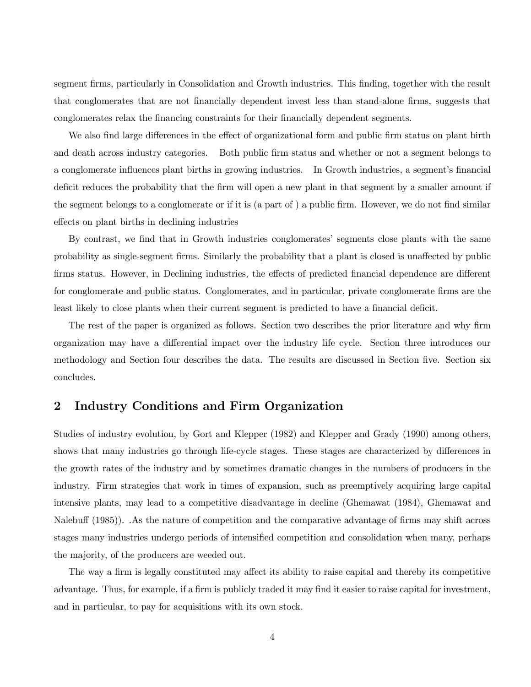segment firms, particularly in Consolidation and Growth industries. This finding, together with the result that conglomerates that are not financially dependent invest less than stand-alone firms, suggests that conglomerates relax the financing constraints for their financially dependent segments.

We also find large differences in the effect of organizational form and public firm status on plant birth and death across industry categories. Both public firm status and whether or not a segment belongs to a conglomerate influences plant births in growing industries. In Growth industries, a segment's financial deficit reduces the probability that the firm will open a new plant in that segment by a smaller amount if the segment belongs to a conglomerate or if it is (a part of ) a public firm. However, we do not find similar effects on plant births in declining industries

By contrast, we find that in Growth industries conglomerates' segments close plants with the same probability as single-segment firms. Similarly the probability that a plant is closed is unaffected by public firms status. However, in Declining industries, the effects of predicted financial dependence are different for conglomerate and public status. Conglomerates, and in particular, private conglomerate firms are the least likely to close plants when their current segment is predicted to have a financial deficit.

The rest of the paper is organized as follows. Section two describes the prior literature and why firm organization may have a differential impact over the industry life cycle. Section three introduces our methodology and Section four describes the data. The results are discussed in Section five. Section six concludes.

## 2 Industry Conditions and Firm Organization

Studies of industry evolution, by Gort and Klepper (1982) and Klepper and Grady (1990) among others, shows that many industries go through life-cycle stages. These stages are characterized by differences in the growth rates of the industry and by sometimes dramatic changes in the numbers of producers in the industry. Firm strategies that work in times of expansion, such as preemptively acquiring large capital intensive plants, may lead to a competitive disadvantage in decline (Ghemawat (1984), Ghemawat and Nalebuff (1985)). .As the nature of competition and the comparative advantage of firms may shift across stages many industries undergo periods of intensified competition and consolidation when many, perhaps the majority, of the producers are weeded out.

The way a firm is legally constituted may affect its ability to raise capital and thereby its competitive advantage. Thus, for example, if a firm is publicly traded it may find it easier to raise capital for investment, and in particular, to pay for acquisitions with its own stock.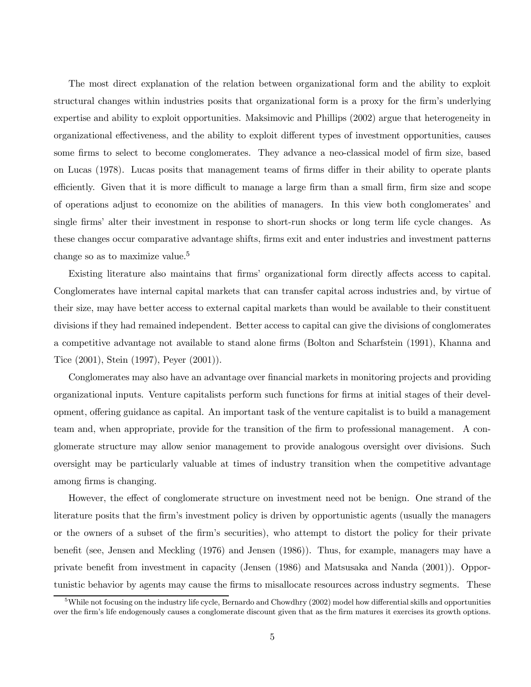The most direct explanation of the relation between organizational form and the ability to exploit structural changes within industries posits that organizational form is a proxy for the firm's underlying expertise and ability to exploit opportunities. Maksimovic and Phillips (2002) argue that heterogeneity in organizational effectiveness, and the ability to exploit different types of investment opportunities, causes some firms to select to become conglomerates. They advance a neo-classical model of firm size, based on Lucas (1978). Lucas posits that management teams of firms differ in their ability to operate plants efficiently. Given that it is more difficult to manage a large firm than a small firm, firm size and scope of operations adjust to economize on the abilities of managers. In this view both conglomerates' and single firms' alter their investment in response to short-run shocks or long term life cycle changes. As these changes occur comparative advantage shifts, firms exit and enter industries and investment patterns change so as to maximize value.<sup>5</sup>

Existing literature also maintains that firms' organizational form directly affects access to capital. Conglomerates have internal capital markets that can transfer capital across industries and, by virtue of their size, may have better access to external capital markets than would be available to their constituent divisions if they had remained independent. Better access to capital can give the divisions of conglomerates a competitive advantage not available to stand alone firms (Bolton and Scharfstein (1991), Khanna and Tice (2001), Stein (1997), Peyer (2001)).

Conglomerates may also have an advantage over financial markets in monitoring projects and providing organizational inputs. Venture capitalists perform such functions for firms at initial stages of their development, offering guidance as capital. An important task of the venture capitalist is to build a management team and, when appropriate, provide for the transition of the firm to professional management. A conglomerate structure may allow senior management to provide analogous oversight over divisions. Such oversight may be particularly valuable at times of industry transition when the competitive advantage among firms is changing.

However, the effect of conglomerate structure on investment need not be benign. One strand of the literature posits that the firm's investment policy is driven by opportunistic agents (usually the managers or the owners of a subset of the firm's securities), who attempt to distort the policy for their private benefit (see, Jensen and Meckling (1976) and Jensen (1986)). Thus, for example, managers may have a private benefit from investment in capacity (Jensen (1986) and Matsusaka and Nanda (2001)). Opportunistic behavior by agents may cause the firms to misallocate resources across industry segments. These

 $5$ While not focusing on the industry life cycle, Bernardo and Chowdhry (2002) model how differential skills and opportunities over the firm's life endogenously causes a conglomerate discount given that as the firm matures it exercises its growth options.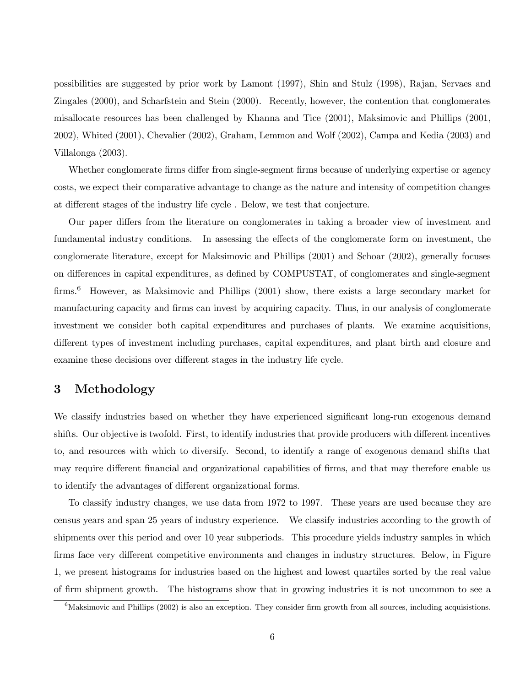possibilities are suggested by prior work by Lamont (1997), Shin and Stulz (1998), Rajan, Servaes and Zingales (2000), and Scharfstein and Stein (2000). Recently, however, the contention that conglomerates misallocate resources has been challenged by Khanna and Tice (2001), Maksimovic and Phillips (2001, 2002), Whited (2001), Chevalier (2002), Graham, Lemmon and Wolf (2002), Campa and Kedia (2003) and Villalonga (2003).

Whether conglomerate firms differ from single-segment firms because of underlying expertise or agency costs, we expect their comparative advantage to change as the nature and intensity of competition changes at different stages of the industry life cycle . Below, we test that conjecture.

Our paper differs from the literature on conglomerates in taking a broader view of investment and fundamental industry conditions. In assessing the effects of the conglomerate form on investment, the conglomerate literature, except for Maksimovic and Phillips (2001) and Schoar (2002), generally focuses on differences in capital expenditures, as defined by COMPUSTAT, of conglomerates and single-segment firms.<sup>6</sup> However, as Maksimovic and Phillips (2001) show, there exists a large secondary market for manufacturing capacity and firms can invest by acquiring capacity. Thus, in our analysis of conglomerate investment we consider both capital expenditures and purchases of plants. We examine acquisitions, different types of investment including purchases, capital expenditures, and plant birth and closure and examine these decisions over different stages in the industry life cycle.

### 3 Methodology

We classify industries based on whether they have experienced significant long-run exogenous demand shifts. Our objective is twofold. First, to identify industries that provide producers with different incentives to, and resources with which to diversify. Second, to identify a range of exogenous demand shifts that may require different financial and organizational capabilities of firms, and that may therefore enable us to identify the advantages of different organizational forms.

To classify industry changes, we use data from 1972 to 1997. These years are used because they are census years and span 25 years of industry experience. We classify industries according to the growth of shipments over this period and over 10 year subperiods. This procedure yields industry samples in which firms face very different competitive environments and changes in industry structures. Below, in Figure 1, we present histograms for industries based on the highest and lowest quartiles sorted by the real value of firm shipment growth. The histograms show that in growing industries it is not uncommon to see a

 ${}^{6}$ Maksimovic and Phillips (2002) is also an exception. They consider firm growth from all sources, including acquisistions.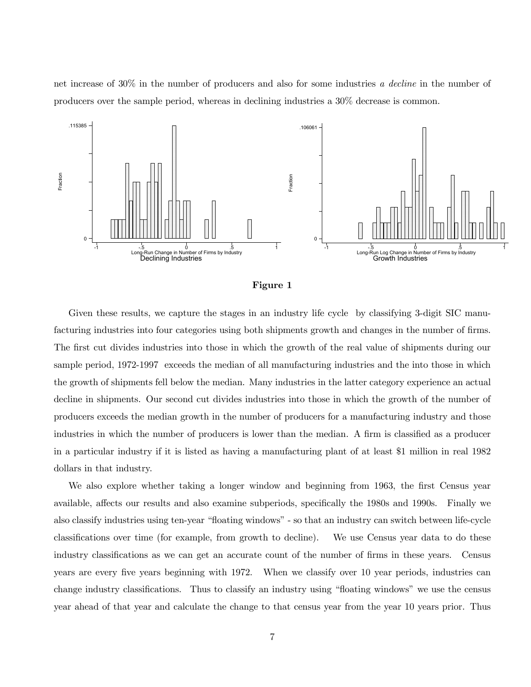net increase of 30% in the number of producers and also for some industries a decline in the number of producers over the sample period, whereas in declining industries a 30% decrease is common.



#### Figure 1

Given these results, we capture the stages in an industry life cycle by classifying 3-digit SIC manufacturing industries into four categories using both shipments growth and changes in the number of firms. The first cut divides industries into those in which the growth of the real value of shipments during our sample period, 1972-1997 exceeds the median of all manufacturing industries and the into those in which the growth of shipments fell below the median. Many industries in the latter category experience an actual decline in shipments. Our second cut divides industries into those in which the growth of the number of producers exceeds the median growth in the number of producers for a manufacturing industry and those industries in which the number of producers is lower than the median. A firm is classified as a producer in a particular industry if it is listed as having a manufacturing plant of at least \$1 million in real 1982 dollars in that industry.

We also explore whether taking a longer window and beginning from 1963, the first Census year available, affects our results and also examine subperiods, specifically the 1980s and 1990s. Finally we also classify industries using ten-year "floating windows" - so that an industry can switch between life-cycle classifications over time (for example, from growth to decline). We use Census year data to do these industry classifications as we can get an accurate count of the number of firms in these years. Census years are every five years beginning with 1972. When we classify over 10 year periods, industries can change industry classifications. Thus to classify an industry using "floating windows" we use the census year ahead of that year and calculate the change to that census year from the year 10 years prior. Thus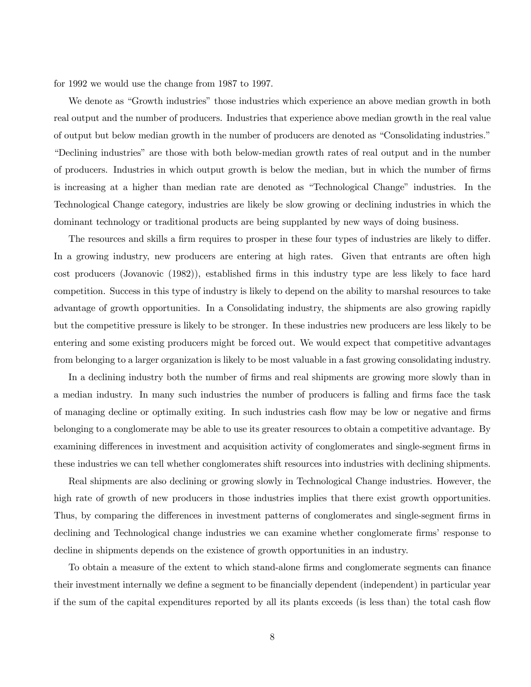for 1992 we would use the change from 1987 to 1997.

We denote as "Growth industries" those industries which experience an above median growth in both real output and the number of producers. Industries that experience above median growth in the real value of output but below median growth in the number of producers are denoted as "Consolidating industries." "Declining industries" are those with both below-median growth rates of real output and in the number of producers. Industries in which output growth is below the median, but in which the number of firms is increasing at a higher than median rate are denoted as "Technological Change" industries. In the Technological Change category, industries are likely be slow growing or declining industries in which the dominant technology or traditional products are being supplanted by new ways of doing business.

The resources and skills a firm requires to prosper in these four types of industries are likely to differ. In a growing industry, new producers are entering at high rates. Given that entrants are often high cost producers (Jovanovic (1982)), established firms in this industry type are less likely to face hard competition. Success in this type of industry is likely to depend on the ability to marshal resources to take advantage of growth opportunities. In a Consolidating industry, the shipments are also growing rapidly but the competitive pressure is likely to be stronger. In these industries new producers are less likely to be entering and some existing producers might be forced out. We would expect that competitive advantages from belonging to a larger organization is likely to be most valuable in a fast growing consolidating industry.

In a declining industry both the number of firms and real shipments are growing more slowly than in a median industry. In many such industries the number of producers is falling and firms face the task of managing decline or optimally exiting. In such industries cash flow may be low or negative and firms belonging to a conglomerate may be able to use its greater resources to obtain a competitive advantage. By examining differences in investment and acquisition activity of conglomerates and single-segment firms in these industries we can tell whether conglomerates shift resources into industries with declining shipments.

Real shipments are also declining or growing slowly in Technological Change industries. However, the high rate of growth of new producers in those industries implies that there exist growth opportunities. Thus, by comparing the differences in investment patterns of conglomerates and single-segment firms in declining and Technological change industries we can examine whether conglomerate firms' response to decline in shipments depends on the existence of growth opportunities in an industry.

To obtain a measure of the extent to which stand-alone firms and conglomerate segments can finance their investment internally we define a segment to be financially dependent (independent) in particular year if the sum of the capital expenditures reported by all its plants exceeds (is less than) the total cash flow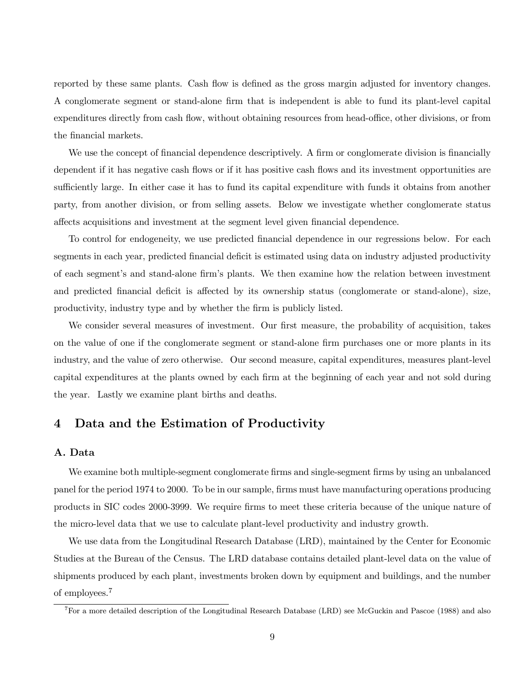reported by these same plants. Cash flow is defined as the gross margin adjusted for inventory changes. A conglomerate segment or stand-alone firm that is independent is able to fund its plant-level capital expenditures directly from cash flow, without obtaining resources from head-office, other divisions, or from the financial markets.

We use the concept of financial dependence descriptively. A firm or conglomerate division is financially dependent if it has negative cash flows or if it has positive cash flows and its investment opportunities are sufficiently large. In either case it has to fund its capital expenditure with funds it obtains from another party, from another division, or from selling assets. Below we investigate whether conglomerate status affects acquisitions and investment at the segment level given financial dependence.

To control for endogeneity, we use predicted financial dependence in our regressions below. For each segments in each year, predicted financial deficit is estimated using data on industry adjusted productivity of each segment's and stand-alone firm's plants. We then examine how the relation between investment and predicted financial deficit is affected by its ownership status (conglomerate or stand-alone), size, productivity, industry type and by whether the firm is publicly listed.

We consider several measures of investment. Our first measure, the probability of acquisition, takes on the value of one if the conglomerate segment or stand-alone firm purchases one or more plants in its industry, and the value of zero otherwise. Our second measure, capital expenditures, measures plant-level capital expenditures at the plants owned by each firm at the beginning of each year and not sold during the year. Lastly we examine plant births and deaths.

### 4 Data and the Estimation of Productivity

#### A. Data

We examine both multiple-segment conglomerate firms and single-segment firms by using an unbalanced panel for the period 1974 to 2000. To be in our sample, firms must have manufacturing operations producing products in SIC codes 2000-3999. We require firms to meet these criteria because of the unique nature of the micro-level data that we use to calculate plant-level productivity and industry growth.

We use data from the Longitudinal Research Database (LRD), maintained by the Center for Economic Studies at the Bureau of the Census. The LRD database contains detailed plant-level data on the value of shipments produced by each plant, investments broken down by equipment and buildings, and the number of employees.<sup>7</sup>

<sup>7</sup>For a more detailed description of the Longitudinal Research Database (LRD) see McGuckin and Pascoe (1988) and also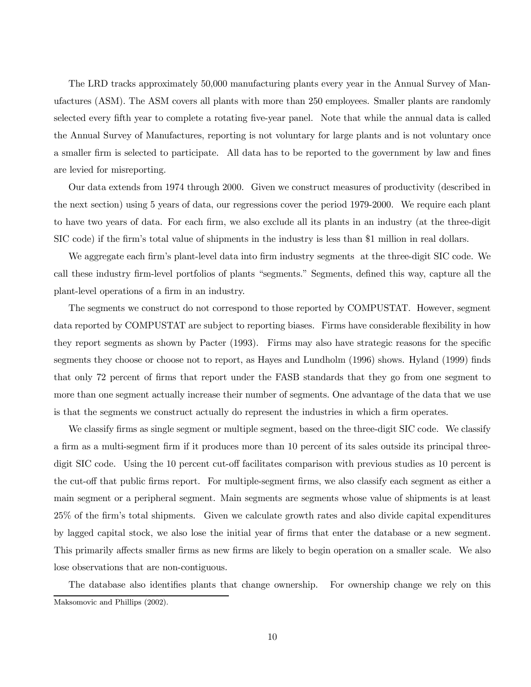The LRD tracks approximately 50,000 manufacturing plants every year in the Annual Survey of Manufactures (ASM). The ASM covers all plants with more than 250 employees. Smaller plants are randomly selected every fifth year to complete a rotating five-year panel. Note that while the annual data is called the Annual Survey of Manufactures, reporting is not voluntary for large plants and is not voluntary once a smaller firm is selected to participate. All data has to be reported to the government by law and fines are levied for misreporting.

Our data extends from 1974 through 2000. Given we construct measures of productivity (described in the next section) using 5 years of data, our regressions cover the period 1979-2000. We require each plant to have two years of data. For each firm, we also exclude all its plants in an industry (at the three-digit SIC code) if the firm's total value of shipments in the industry is less than \$1 million in real dollars.

We aggregate each firm's plant-level data into firm industry segments at the three-digit SIC code. We call these industry firm-level portfolios of plants "segments." Segments, defined this way, capture all the plant-level operations of a firm in an industry.

The segments we construct do not correspond to those reported by COMPUSTAT. However, segment data reported by COMPUSTAT are subject to reporting biases. Firms have considerable flexibility in how they report segments as shown by Pacter (1993). Firms may also have strategic reasons for the specific segments they choose or choose not to report, as Hayes and Lundholm (1996) shows. Hyland (1999) finds that only 72 percent of firms that report under the FASB standards that they go from one segment to more than one segment actually increase their number of segments. One advantage of the data that we use is that the segments we construct actually do represent the industries in which a firm operates.

We classify firms as single segment or multiple segment, based on the three-digit SIC code. We classify a firm as a multi-segment firm if it produces more than 10 percent of its sales outside its principal threedigit SIC code. Using the 10 percent cut-off facilitates comparison with previous studies as 10 percent is the cut-off that public firms report. For multiple-segment firms, we also classify each segment as either a main segment or a peripheral segment. Main segments are segments whose value of shipments is at least 25% of the firm's total shipments. Given we calculate growth rates and also divide capital expenditures by lagged capital stock, we also lose the initial year of firms that enter the database or a new segment. This primarily affects smaller firms as new firms are likely to begin operation on a smaller scale. We also lose observations that are non-contiguous.

The database also identifies plants that change ownership. For ownership change we rely on this Maksomovic and Phillips (2002).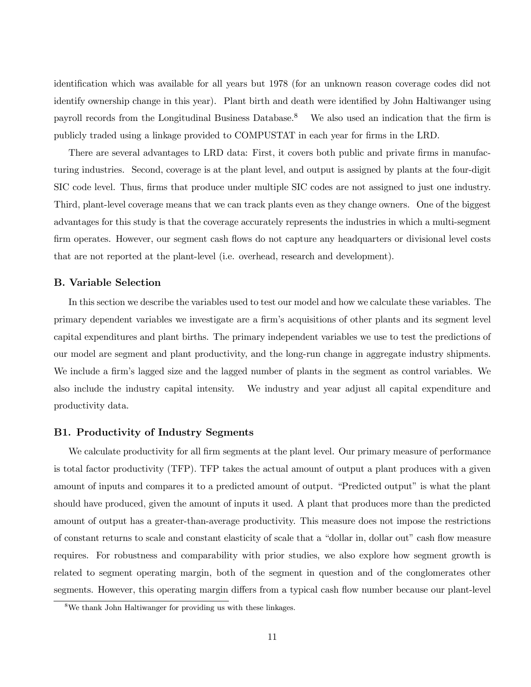identification which was available for all years but 1978 (for an unknown reason coverage codes did not identify ownership change in this year). Plant birth and death were identified by John Haltiwanger using payroll records from the Longitudinal Business Database.<sup>8</sup> We also used an indication that the firm is publicly traded using a linkage provided to COMPUSTAT in each year for firms in the LRD.

There are several advantages to LRD data: First, it covers both public and private firms in manufacturing industries. Second, coverage is at the plant level, and output is assigned by plants at the four-digit SIC code level. Thus, firms that produce under multiple SIC codes are not assigned to just one industry. Third, plant-level coverage means that we can track plants even as they change owners. One of the biggest advantages for this study is that the coverage accurately represents the industries in which a multi-segment firm operates. However, our segment cash flows do not capture any headquarters or divisional level costs that are not reported at the plant-level (i.e. overhead, research and development).

### B. Variable Selection

In this section we describe the variables used to test our model and how we calculate these variables. The primary dependent variables we investigate are a firm's acquisitions of other plants and its segment level capital expenditures and plant births. The primary independent variables we use to test the predictions of our model are segment and plant productivity, and the long-run change in aggregate industry shipments. We include a firm's lagged size and the lagged number of plants in the segment as control variables. We also include the industry capital intensity. We industry and year adjust all capital expenditure and productivity data.

#### B1. Productivity of Industry Segments

We calculate productivity for all firm segments at the plant level. Our primary measure of performance is total factor productivity (TFP). TFP takes the actual amount of output a plant produces with a given amount of inputs and compares it to a predicted amount of output. "Predicted output" is what the plant should have produced, given the amount of inputs it used. A plant that produces more than the predicted amount of output has a greater-than-average productivity. This measure does not impose the restrictions of constant returns to scale and constant elasticity of scale that a "dollar in, dollar out" cash flow measure requires. For robustness and comparability with prior studies, we also explore how segment growth is related to segment operating margin, both of the segment in question and of the conglomerates other segments. However, this operating margin differs from a typical cash flow number because our plant-level

<sup>8</sup>We thank John Haltiwanger for providing us with these linkages.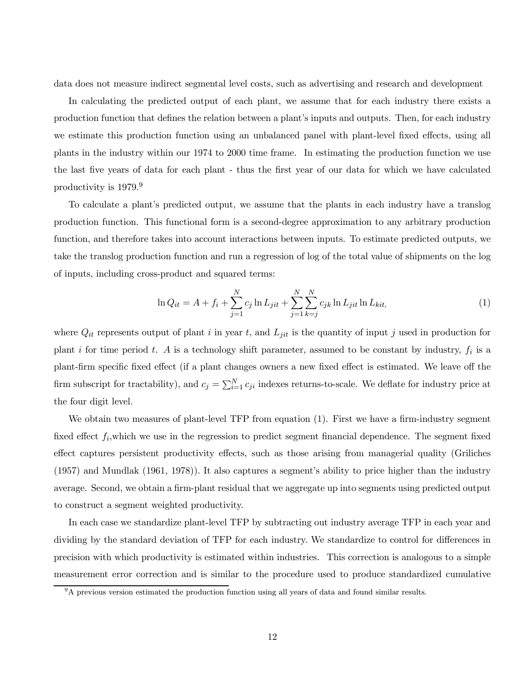data does not measure indirect segmental level costs, such as advertising and research and development

In calculating the predicted output of each plant, we assume that for each industry there exists a production function that defines the relation between a plant's inputs and outputs. Then, for each industry we estimate this production function using an unbalanced panel with plant-level fixed effects, using all plants in the industry within our 1974 to 2000 time frame. In estimating the production function we use the last five years of data for each plant - thus the first year of our data for which we have calculated productivity is 1979.<sup>9</sup>

To calculate a plant's predicted output, we assume that the plants in each industry have a translog production function. This functional form is a second-degree approximation to any arbitrary production function, and therefore takes into account interactions between inputs. To estimate predicted outputs, we take the translog production function and run a regression of log of the total value of shipments on the log of inputs, including cross-product and squared terms:

$$
\ln Q_{it} = A + f_i + \sum_{j=1}^{N} c_j \ln L_{jit} + \sum_{j=1}^{N} \sum_{k=j}^{N} c_{jk} \ln L_{jit} \ln L_{kit}, \tag{1}
$$

where  $Q_{it}$  represents output of plant i in year t, and  $L_{jit}$  is the quantity of input j used in production for plant i for time period t. A is a technology shift parameter, assumed to be constant by industry,  $f_i$  is a plant-firm specific fixed effect (if a plant changes owners a new fixed effect is estimated. We leave off the firm subscript for tractability), and  $c_j = \sum_{i=1}^{N} c_{ji}$  indexes returns-to-scale. We deflate for industry price at the four digit level.

We obtain two measures of plant-level TFP from equation (1). First we have a firm-industry segment fixed effect  $f_i$ , which we use in the regression to predict segment financial dependence. The segment fixed effect captures persistent productivity effects, such as those arising from managerial quality (Griliches (1957) and Mundlak (1961, 1978)). It also captures a segment's ability to price higher than the industry average. Second, we obtain a firm-plant residual that we aggregate up into segments using predicted output to construct a segment weighted productivity.

In each case we standardize plant-level TFP by subtracting out industry average TFP in each year and dividing by the standard deviation of TFP for each industry. We standardize to control for differences in precision with which productivity is estimated within industries. This correction is analogous to a simple measurement error correction and is similar to the procedure used to produce standardized cumulative

<sup>9</sup>A previous version estimated the production function using all years of data and found similar results.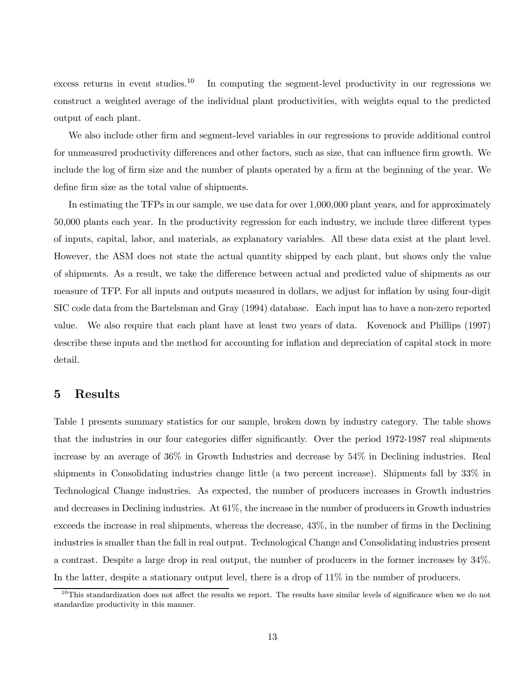excess returns in event studies.<sup>10</sup> In computing the segment-level productivity in our regressions we construct a weighted average of the individual plant productivities, with weights equal to the predicted output of each plant.

We also include other firm and segment-level variables in our regressions to provide additional control for unmeasured productivity differences and other factors, such as size, that can influence firm growth. We include the log of firm size and the number of plants operated by a firm at the beginning of the year. We define firm size as the total value of shipments.

In estimating the TFPs in our sample, we use data for over 1,000,000 plant years, and for approximately 50,000 plants each year. In the productivity regression for each industry, we include three different types of inputs, capital, labor, and materials, as explanatory variables. All these data exist at the plant level. However, the ASM does not state the actual quantity shipped by each plant, but shows only the value of shipments. As a result, we take the difference between actual and predicted value of shipments as our measure of TFP. For all inputs and outputs measured in dollars, we adjust for inflation by using four-digit SIC code data from the Bartelsman and Gray (1994) database. Each input has to have a non-zero reported value. We also require that each plant have at least two years of data. Kovenock and Phillips (1997) describe these inputs and the method for accounting for inflation and depreciation of capital stock in more detail.

### 5 Results

Table 1 presents summary statistics for our sample, broken down by industry category. The table shows that the industries in our four categories differ significantly. Over the period 1972-1987 real shipments increase by an average of 36% in Growth Industries and decrease by 54% in Declining industries. Real shipments in Consolidating industries change little (a two percent increase). Shipments fall by 33% in Technological Change industries. As expected, the number of producers increases in Growth industries and decreases in Declining industries. At 61%, the increase in the number of producers in Growth industries exceeds the increase in real shipments, whereas the decrease, 43%, in the number of firms in the Declining industries is smaller than the fall in real output. Technological Change and Consolidating industries present a contrast. Despite a large drop in real output, the number of producers in the former increases by 34%. In the latter, despite a stationary output level, there is a drop of  $11\%$  in the number of producers.

 $10$ This standardization does not affect the results we report. The results have similar levels of significance when we do not standardize productivity in this manner.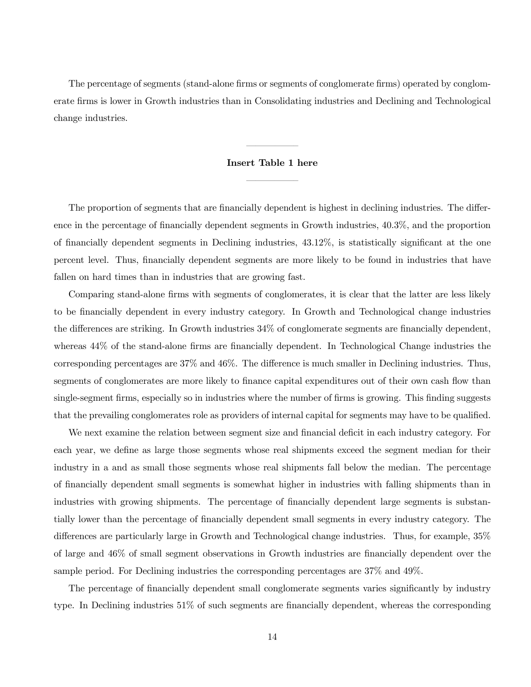The percentage of segments (stand-alone firms or segments of conglomerate firms) operated by conglomerate firms is lower in Growth industries than in Consolidating industries and Declining and Technological change industries.

#### Insert Table 1 here

–––––—

–––––—

The proportion of segments that are financially dependent is highest in declining industries. The difference in the percentage of financially dependent segments in Growth industries, 40.3%, and the proportion of financially dependent segments in Declining industries, 43.12%, is statistically significant at the one percent level. Thus, financially dependent segments are more likely to be found in industries that have fallen on hard times than in industries that are growing fast.

Comparing stand-alone firms with segments of conglomerates, it is clear that the latter are less likely to be financially dependent in every industry category. In Growth and Technological change industries the differences are striking. In Growth industries 34% of conglomerate segments are financially dependent, whereas 44% of the stand-alone firms are financially dependent. In Technological Change industries the corresponding percentages are 37% and 46%. The difference is much smaller in Declining industries. Thus, segments of conglomerates are more likely to finance capital expenditures out of their own cash flow than single-segment firms, especially so in industries where the number of firms is growing. This finding suggests that the prevailing conglomerates role as providers of internal capital for segments may have to be qualified.

We next examine the relation between segment size and financial deficit in each industry category. For each year, we define as large those segments whose real shipments exceed the segment median for their industry in a and as small those segments whose real shipments fall below the median. The percentage of financially dependent small segments is somewhat higher in industries with falling shipments than in industries with growing shipments. The percentage of financially dependent large segments is substantially lower than the percentage of financially dependent small segments in every industry category. The differences are particularly large in Growth and Technological change industries. Thus, for example, 35% of large and 46% of small segment observations in Growth industries are financially dependent over the sample period. For Declining industries the corresponding percentages are 37% and 49%.

The percentage of financially dependent small conglomerate segments varies significantly by industry type. In Declining industries 51% of such segments are financially dependent, whereas the corresponding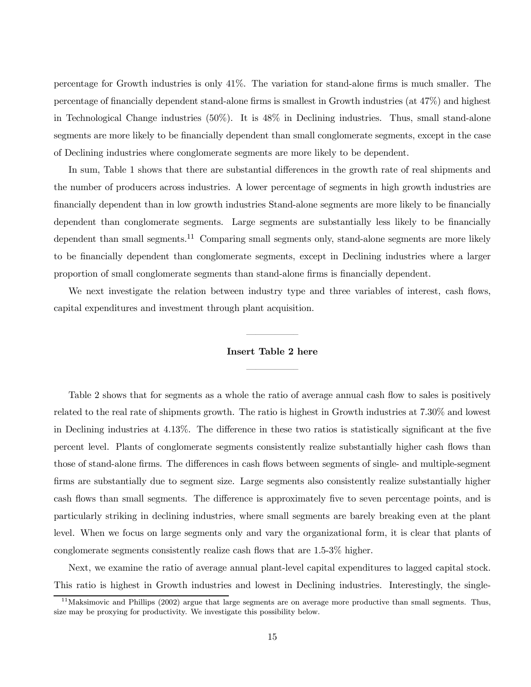percentage for Growth industries is only 41%. The variation for stand-alone firms is much smaller. The percentage of financially dependent stand-alone firms is smallest in Growth industries (at 47%) and highest in Technological Change industries (50%). It is 48% in Declining industries. Thus, small stand-alone segments are more likely to be financially dependent than small conglomerate segments, except in the case of Declining industries where conglomerate segments are more likely to be dependent.

In sum, Table 1 shows that there are substantial differences in the growth rate of real shipments and the number of producers across industries. A lower percentage of segments in high growth industries are financially dependent than in low growth industries Stand-alone segments are more likely to be financially dependent than conglomerate segments. Large segments are substantially less likely to be financially dependent than small segments.<sup>11</sup> Comparing small segments only, stand-alone segments are more likely to be financially dependent than conglomerate segments, except in Declining industries where a larger proportion of small conglomerate segments than stand-alone firms is financially dependent.

We next investigate the relation between industry type and three variables of interest, cash flows, capital expenditures and investment through plant acquisition.

## –––––— Insert Table 2 here

–––––—

Table 2 shows that for segments as a whole the ratio of average annual cash flow to sales is positively related to the real rate of shipments growth. The ratio is highest in Growth industries at 7.30% and lowest in Declining industries at 4.13%. The difference in these two ratios is statistically significant at the five percent level. Plants of conglomerate segments consistently realize substantially higher cash flows than those of stand-alone firms. The differences in cash flows between segments of single- and multiple-segment firms are substantially due to segment size. Large segments also consistently realize substantially higher cash flows than small segments. The difference is approximately five to seven percentage points, and is particularly striking in declining industries, where small segments are barely breaking even at the plant level. When we focus on large segments only and vary the organizational form, it is clear that plants of conglomerate segments consistently realize cash flows that are 1.5-3% higher.

Next, we examine the ratio of average annual plant-level capital expenditures to lagged capital stock. This ratio is highest in Growth industries and lowest in Declining industries. Interestingly, the single-

 $11$ Maksimovic and Phillips (2002) argue that large segments are on average more productive than small segments. Thus, size may be proxying for productivity. We investigate this possibility below.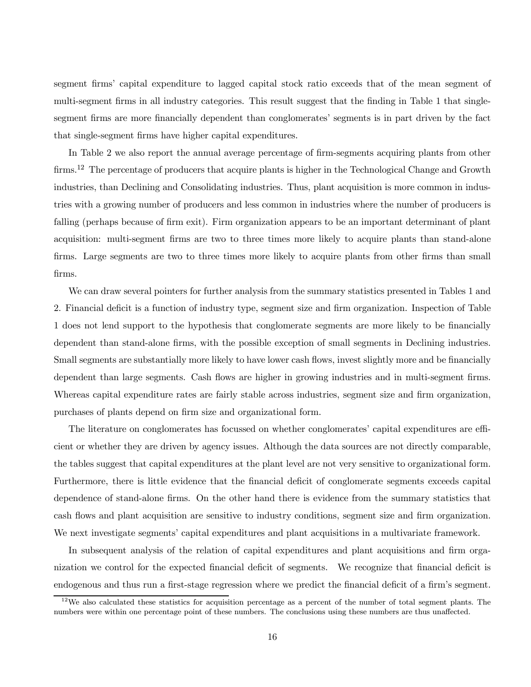segment firms' capital expenditure to lagged capital stock ratio exceeds that of the mean segment of multi-segment firms in all industry categories. This result suggest that the finding in Table 1 that singlesegment firms are more financially dependent than conglomerates' segments is in part driven by the fact that single-segment firms have higher capital expenditures.

In Table 2 we also report the annual average percentage of firm-segments acquiring plants from other firms.<sup>12</sup> The percentage of producers that acquire plants is higher in the Technological Change and Growth industries, than Declining and Consolidating industries. Thus, plant acquisition is more common in industries with a growing number of producers and less common in industries where the number of producers is falling (perhaps because of firm exit). Firm organization appears to be an important determinant of plant acquisition: multi-segment firms are two to three times more likely to acquire plants than stand-alone firms. Large segments are two to three times more likely to acquire plants from other firms than small firms.

We can draw several pointers for further analysis from the summary statistics presented in Tables 1 and 2. Financial deficit is a function of industry type, segment size and firm organization. Inspection of Table 1 does not lend support to the hypothesis that conglomerate segments are more likely to be financially dependent than stand-alone firms, with the possible exception of small segments in Declining industries. Small segments are substantially more likely to have lower cash flows, invest slightly more and be financially dependent than large segments. Cash flows are higher in growing industries and in multi-segment firms. Whereas capital expenditure rates are fairly stable across industries, segment size and firm organization, purchases of plants depend on firm size and organizational form.

The literature on conglomerates has focussed on whether conglomerates' capital expenditures are efficient or whether they are driven by agency issues. Although the data sources are not directly comparable, the tables suggest that capital expenditures at the plant level are not very sensitive to organizational form. Furthermore, there is little evidence that the financial deficit of conglomerate segments exceeds capital dependence of stand-alone firms. On the other hand there is evidence from the summary statistics that cash flows and plant acquisition are sensitive to industry conditions, segment size and firm organization. We next investigate segments' capital expenditures and plant acquisitions in a multivariate framework.

In subsequent analysis of the relation of capital expenditures and plant acquisitions and firm organization we control for the expected financial deficit of segments. We recognize that financial deficit is endogenous and thus run a first-stage regression where we predict the financial deficit of a firm's segment.

 $12$ We also calculated these statistics for acquisition percentage as a percent of the number of total segment plants. The numbers were within one percentage point of these numbers. The conclusions using these numbers are thus unaffected.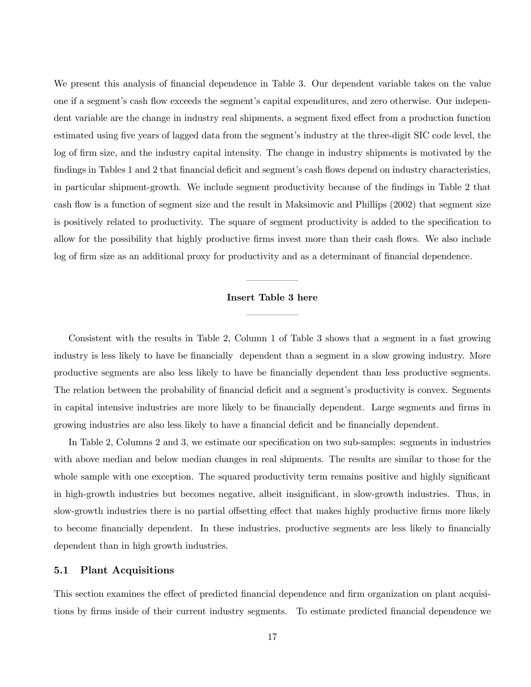We present this analysis of financial dependence in Table 3. Our dependent variable takes on the value one if a segment's cash flow exceeds the segment's capital expenditures, and zero otherwise. Our independent variable are the change in industry real shipments, a segment fixed effect from a production function estimated using five years of lagged data from the segment's industry at the three-digit SIC code level, the log of firm size, and the industry capital intensity. The change in industry shipments is motivated by the findings in Tables 1 and 2 that financial deficit and segment's cash flows depend on industry characteristics, in particular shipment-growth. We include segment productivity because of the findings in Table 2 that cash flow is a function of segment size and the result in Maksimovic and Phillips (2002) that segment size is positively related to productivity. The square of segment productivity is added to the specification to allow for the possibility that highly productive firms invest more than their cash flows. We also include log of firm size as an additional proxy for productivity and as a determinant of financial dependence.

#### Insert Table 3 here

–––––—

–––––—

Consistent with the results in Table 2, Column 1 of Table 3 shows that a segment in a fast growing industry is less likely to have be financially dependent than a segment in a slow growing industry. More productive segments are also less likely to have be financially dependent than less productive segments. The relation between the probability of financial deficit and a segment's productivity is convex. Segments in capital intensive industries are more likely to be financially dependent. Large segments and firms in growing industries are also less likely to have a financial deficit and be financially dependent.

In Table 2, Columns 2 and 3, we estimate our specification on two sub-samples: segments in industries with above median and below median changes in real shipments. The results are similar to those for the whole sample with one exception. The squared productivity term remains positive and highly significant in high-growth industries but becomes negative, albeit insignificant, in slow-growth industries. Thus, in slow-growth industries there is no partial offsetting effect that makes highly productive firms more likely to become financially dependent. In these industries, productive segments are less likely to financially dependent than in high growth industries.

#### 5.1 Plant Acquisitions

This section examines the effect of predicted financial dependence and firm organization on plant acquisitions by firms inside of their current industry segments. To estimate predicted financial dependence we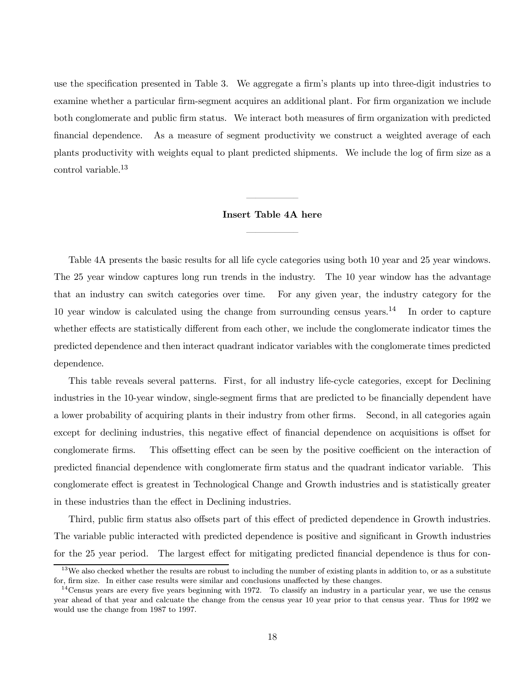use the specification presented in Table 3. We aggregate a firm's plants up into three-digit industries to examine whether a particular firm-segment acquires an additional plant. For firm organization we include both conglomerate and public firm status. We interact both measures of firm organization with predicted financial dependence. As a measure of segment productivity we construct a weighted average of each plants productivity with weights equal to plant predicted shipments. We include the log of firm size as a control variable.<sup>13</sup>

# –––––— Insert Table 4A here

–––––—

Table 4A presents the basic results for all life cycle categories using both 10 year and 25 year windows. The 25 year window captures long run trends in the industry. The 10 year window has the advantage that an industry can switch categories over time. For any given year, the industry category for the 10 year window is calculated using the change from surrounding census years.<sup>14</sup> In order to capture whether effects are statistically different from each other, we include the conglomerate indicator times the predicted dependence and then interact quadrant indicator variables with the conglomerate times predicted dependence.

This table reveals several patterns. First, for all industry life-cycle categories, except for Declining industries in the 10-year window, single-segment firms that are predicted to be financially dependent have a lower probability of acquiring plants in their industry from other firms. Second, in all categories again except for declining industries, this negative effect of financial dependence on acquisitions is offset for conglomerate firms. This offsetting effect can be seen by the positive coefficient on the interaction of predicted financial dependence with conglomerate firm status and the quadrant indicator variable. This conglomerate effect is greatest in Technological Change and Growth industries and is statistically greater in these industries than the effect in Declining industries.

Third, public firm status also offsets part of this effect of predicted dependence in Growth industries. The variable public interacted with predicted dependence is positive and significant in Growth industries for the 25 year period. The largest effect for mitigating predicted financial dependence is thus for con-

 $13$ We also checked whether the results are robust to including the number of existing plants in addition to, or as a substitute for, firm size. In either case results were similar and conclusions unaffected by these changes.

 $14$ Census years are every five years beginning with 1972. To classify an industry in a particular year, we use the census year ahead of that year and calcuate the change from the census year 10 year prior to that census year. Thus for 1992 we would use the change from 1987 to 1997.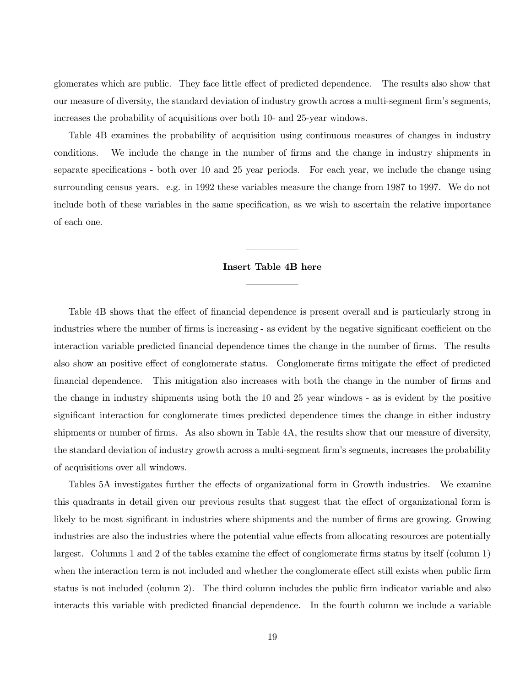glomerates which are public. They face little effect of predicted dependence. The results also show that our measure of diversity, the standard deviation of industry growth across a multi-segment firm's segments, increases the probability of acquisitions over both 10- and 25-year windows.

Table 4B examines the probability of acquisition using continuous measures of changes in industry conditions. We include the change in the number of firms and the change in industry shipments in separate specifications - both over 10 and 25 year periods. For each year, we include the change using surrounding census years. e.g. in 1992 these variables measure the change from 1987 to 1997. We do not include both of these variables in the same specification, as we wish to ascertain the relative importance of each one.

# –––––— Insert Table 4B here

–––––—

Table 4B shows that the effect of financial dependence is present overall and is particularly strong in industries where the number of firms is increasing - as evident by the negative significant coefficient on the interaction variable predicted financial dependence times the change in the number of firms. The results also show an positive effect of conglomerate status. Conglomerate firms mitigate the effect of predicted financial dependence. This mitigation also increases with both the change in the number of firms and the change in industry shipments using both the 10 and 25 year windows - as is evident by the positive significant interaction for conglomerate times predicted dependence times the change in either industry shipments or number of firms. As also shown in Table 4A, the results show that our measure of diversity, the standard deviation of industry growth across a multi-segment firm's segments, increases the probability of acquisitions over all windows.

Tables 5A investigates further the effects of organizational form in Growth industries. We examine this quadrants in detail given our previous results that suggest that the effect of organizational form is likely to be most significant in industries where shipments and the number of firms are growing. Growing industries are also the industries where the potential value effects from allocating resources are potentially largest. Columns 1 and 2 of the tables examine the effect of conglomerate firms status by itself (column 1) when the interaction term is not included and whether the conglomerate effect still exists when public firm status is not included (column 2). The third column includes the public firm indicator variable and also interacts this variable with predicted financial dependence. In the fourth column we include a variable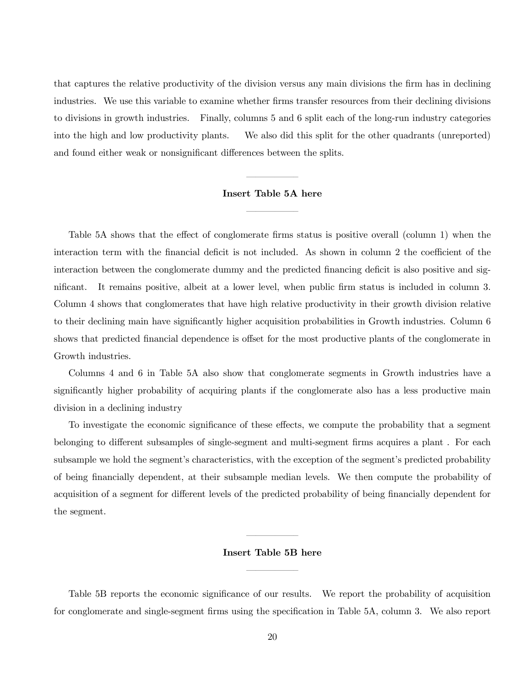that captures the relative productivity of the division versus any main divisions the firm has in declining industries. We use this variable to examine whether firms transfer resources from their declining divisions to divisions in growth industries. Finally, columns 5 and 6 split each of the long-run industry categories into the high and low productivity plants. We also did this split for the other quadrants (unreported) and found either weak or nonsignificant differences between the splits.

# Insert Table 5A here –––––—

–––––—

Table 5A shows that the effect of conglomerate firms status is positive overall (column 1) when the interaction term with the financial deficit is not included. As shown in column 2 the coefficient of the interaction between the conglomerate dummy and the predicted financing deficit is also positive and significant. It remains positive, albeit at a lower level, when public firm status is included in column 3. Column 4 shows that conglomerates that have high relative productivity in their growth division relative to their declining main have significantly higher acquisition probabilities in Growth industries. Column 6 shows that predicted financial dependence is offset for the most productive plants of the conglomerate in Growth industries.

Columns 4 and 6 in Table 5A also show that conglomerate segments in Growth industries have a significantly higher probability of acquiring plants if the conglomerate also has a less productive main division in a declining industry

To investigate the economic significance of these effects, we compute the probability that a segment belonging to different subsamples of single-segment and multi-segment firms acquires a plant . For each subsample we hold the segment's characteristics, with the exception of the segment's predicted probability of being financially dependent, at their subsample median levels. We then compute the probability of acquisition of a segment for different levels of the predicted probability of being financially dependent for the segment.

## –––––— Insert Table 5B here

–––––—

Table 5B reports the economic significance of our results. We report the probability of acquisition for conglomerate and single-segment firms using the specification in Table 5A, column 3. We also report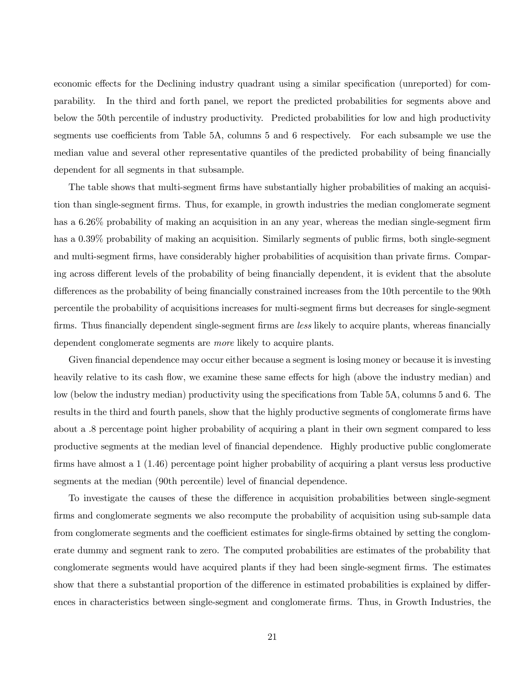economic effects for the Declining industry quadrant using a similar specification (unreported) for comparability. In the third and forth panel, we report the predicted probabilities for segments above and below the 50th percentile of industry productivity. Predicted probabilities for low and high productivity segments use coefficients from Table 5A, columns 5 and 6 respectively. For each subsample we use the median value and several other representative quantiles of the predicted probability of being financially dependent for all segments in that subsample.

The table shows that multi-segment firms have substantially higher probabilities of making an acquisition than single-segment firms. Thus, for example, in growth industries the median conglomerate segment has a 6.26% probability of making an acquisition in an any year, whereas the median single-segment firm has a 0.39% probability of making an acquisition. Similarly segments of public firms, both single-segment and multi-segment firms, have considerably higher probabilities of acquisition than private firms. Comparing across different levels of the probability of being financially dependent, it is evident that the absolute differences as the probability of being financially constrained increases from the 10th percentile to the 90th percentile the probability of acquisitions increases for multi-segment firms but decreases for single-segment firms. Thus financially dependent single-segment firms are less likely to acquire plants, whereas financially dependent conglomerate segments are more likely to acquire plants.

Given financial dependence may occur either because a segment is losing money or because it is investing heavily relative to its cash flow, we examine these same effects for high (above the industry median) and low (below the industry median) productivity using the specifications from Table 5A, columns 5 and 6. The results in the third and fourth panels, show that the highly productive segments of conglomerate firms have about a .8 percentage point higher probability of acquiring a plant in their own segment compared to less productive segments at the median level of financial dependence. Highly productive public conglomerate firms have almost a 1 (1.46) percentage point higher probability of acquiring a plant versus less productive segments at the median (90th percentile) level of financial dependence.

To investigate the causes of these the difference in acquisition probabilities between single-segment firms and conglomerate segments we also recompute the probability of acquisition using sub-sample data from conglomerate segments and the coefficient estimates for single-firms obtained by setting the conglomerate dummy and segment rank to zero. The computed probabilities are estimates of the probability that conglomerate segments would have acquired plants if they had been single-segment firms. The estimates show that there a substantial proportion of the difference in estimated probabilities is explained by differences in characteristics between single-segment and conglomerate firms. Thus, in Growth Industries, the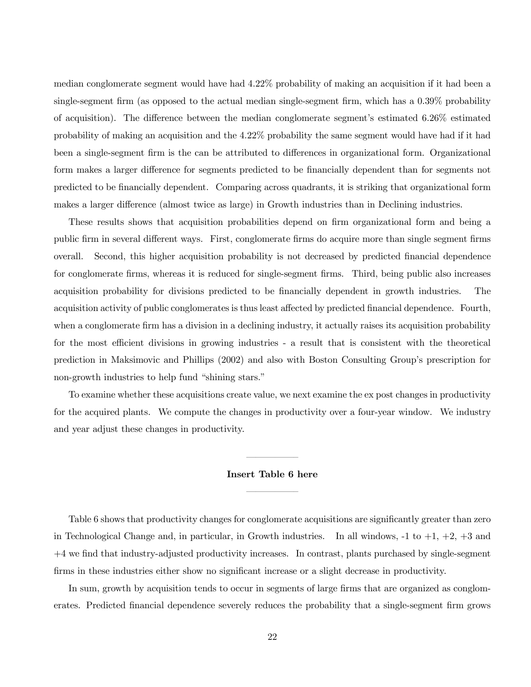median conglomerate segment would have had 4.22% probability of making an acquisition if it had been a single-segment firm (as opposed to the actual median single-segment firm, which has a 0.39% probability of acquisition). The difference between the median conglomerate segment's estimated 6.26% estimated probability of making an acquisition and the 4.22% probability the same segment would have had if it had been a single-segment firm is the can be attributed to differences in organizational form. Organizational form makes a larger difference for segments predicted to be financially dependent than for segments not predicted to be financially dependent. Comparing across quadrants, it is striking that organizational form makes a larger difference (almost twice as large) in Growth industries than in Declining industries.

These results shows that acquisition probabilities depend on firm organizational form and being a public firm in several different ways. First, conglomerate firms do acquire more than single segment firms overall. Second, this higher acquisition probability is not decreased by predicted financial dependence for conglomerate firms, whereas it is reduced for single-segment firms. Third, being public also increases acquisition probability for divisions predicted to be financially dependent in growth industries. The acquisition activity of public conglomerates is thus least affected by predicted financial dependence. Fourth, when a conglomerate firm has a division in a declining industry, it actually raises its acquisition probability for the most efficient divisions in growing industries - a result that is consistent with the theoretical prediction in Maksimovic and Phillips (2002) and also with Boston Consulting Group's prescription for non-growth industries to help fund "shining stars."

To examine whether these acquisitions create value, we next examine the ex post changes in productivity for the acquired plants. We compute the changes in productivity over a four-year window. We industry and year adjust these changes in productivity.

# Insert Table 6 here –––––—

–––––—

Table 6 shows that productivity changes for conglomerate acquisitions are significantly greater than zero in Technological Change and, in particular, in Growth industries. In all windows, -1 to +1, +2, +3 and +4 we find that industry-adjusted productivity increases. In contrast, plants purchased by single-segment firms in these industries either show no significant increase or a slight decrease in productivity.

In sum, growth by acquisition tends to occur in segments of large firms that are organized as conglomerates. Predicted financial dependence severely reduces the probability that a single-segment firm grows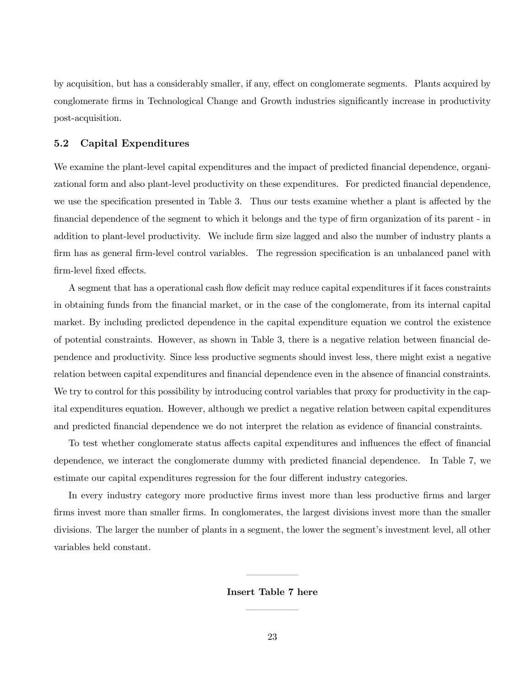by acquisition, but has a considerably smaller, if any, effect on conglomerate segments. Plants acquired by conglomerate firms in Technological Change and Growth industries significantly increase in productivity post-acquisition.

### 5.2 Capital Expenditures

We examine the plant-level capital expenditures and the impact of predicted financial dependence, organizational form and also plant-level productivity on these expenditures. For predicted financial dependence, we use the specification presented in Table 3. Thus our tests examine whether a plant is affected by the financial dependence of the segment to which it belongs and the type of firm organization of its parent - in addition to plant-level productivity. We include firm size lagged and also the number of industry plants a firm has as general firm-level control variables. The regression specification is an unbalanced panel with firm-level fixed effects.

A segment that has a operational cash flow deficit may reduce capital expenditures if it faces constraints in obtaining funds from the financial market, or in the case of the conglomerate, from its internal capital market. By including predicted dependence in the capital expenditure equation we control the existence of potential constraints. However, as shown in Table 3, there is a negative relation between financial dependence and productivity. Since less productive segments should invest less, there might exist a negative relation between capital expenditures and financial dependence even in the absence of financial constraints. We try to control for this possibility by introducing control variables that proxy for productivity in the capital expenditures equation. However, although we predict a negative relation between capital expenditures and predicted financial dependence we do not interpret the relation as evidence of financial constraints.

To test whether conglomerate status affects capital expenditures and influences the effect of financial dependence, we interact the conglomerate dummy with predicted financial dependence. In Table 7, we estimate our capital expenditures regression for the four different industry categories.

In every industry category more productive firms invest more than less productive firms and larger firms invest more than smaller firms. In conglomerates, the largest divisions invest more than the smaller divisions. The larger the number of plants in a segment, the lower the segment's investment level, all other variables held constant.

# Insert Table 7 here –––––—

–––––—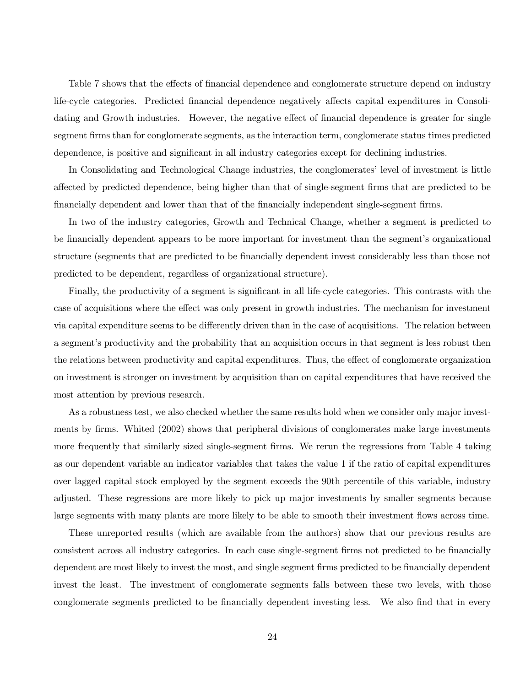Table 7 shows that the effects of financial dependence and conglomerate structure depend on industry life-cycle categories. Predicted financial dependence negatively affects capital expenditures in Consolidating and Growth industries. However, the negative effect of financial dependence is greater for single segment firms than for conglomerate segments, as the interaction term, conglomerate status times predicted dependence, is positive and significant in all industry categories except for declining industries.

In Consolidating and Technological Change industries, the conglomerates' level of investment is little affected by predicted dependence, being higher than that of single-segment firms that are predicted to be financially dependent and lower than that of the financially independent single-segment firms.

In two of the industry categories, Growth and Technical Change, whether a segment is predicted to be financially dependent appears to be more important for investment than the segment's organizational structure (segments that are predicted to be financially dependent invest considerably less than those not predicted to be dependent, regardless of organizational structure).

Finally, the productivity of a segment is significant in all life-cycle categories. This contrasts with the case of acquisitions where the effect was only present in growth industries. The mechanism for investment via capital expenditure seems to be differently driven than in the case of acquisitions. The relation between a segment's productivity and the probability that an acquisition occurs in that segment is less robust then the relations between productivity and capital expenditures. Thus, the effect of conglomerate organization on investment is stronger on investment by acquisition than on capital expenditures that have received the most attention by previous research.

As a robustness test, we also checked whether the same results hold when we consider only major investments by firms. Whited (2002) shows that peripheral divisions of conglomerates make large investments more frequently that similarly sized single-segment firms. We rerun the regressions from Table 4 taking as our dependent variable an indicator variables that takes the value 1 if the ratio of capital expenditures over lagged capital stock employed by the segment exceeds the 90th percentile of this variable, industry adjusted. These regressions are more likely to pick up major investments by smaller segments because large segments with many plants are more likely to be able to smooth their investment flows across time.

These unreported results (which are available from the authors) show that our previous results are consistent across all industry categories. In each case single-segment firms not predicted to be financially dependent are most likely to invest the most, and single segment firms predicted to be financially dependent invest the least. The investment of conglomerate segments falls between these two levels, with those conglomerate segments predicted to be financially dependent investing less. We also find that in every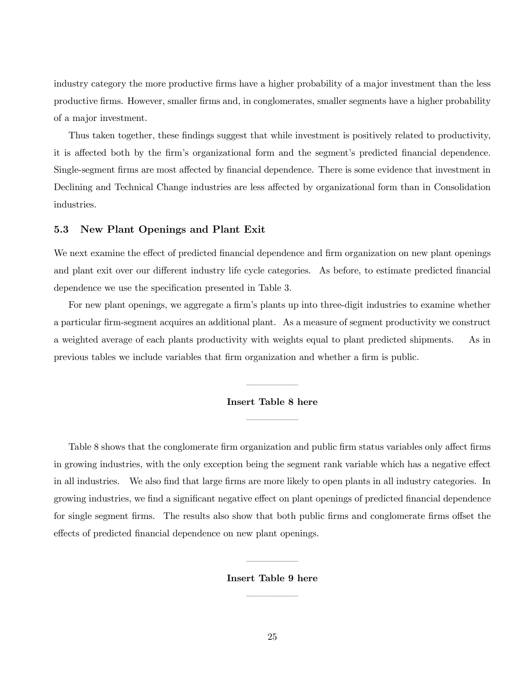industry category the more productive firms have a higher probability of a major investment than the less productive firms. However, smaller firms and, in conglomerates, smaller segments have a higher probability of a major investment.

Thus taken together, these findings suggest that while investment is positively related to productivity, it is affected both by the firm's organizational form and the segment's predicted financial dependence. Single-segment firms are most affected by financial dependence. There is some evidence that investment in Declining and Technical Change industries are less affected by organizational form than in Consolidation industries.

### 5.3 New Plant Openings and Plant Exit

We next examine the effect of predicted financial dependence and firm organization on new plant openings and plant exit over our different industry life cycle categories. As before, to estimate predicted financial dependence we use the specification presented in Table 3.

For new plant openings, we aggregate a firm's plants up into three-digit industries to examine whether a particular firm-segment acquires an additional plant. As a measure of segment productivity we construct a weighted average of each plants productivity with weights equal to plant predicted shipments. As in previous tables we include variables that firm organization and whether a firm is public.

# Insert Table 8 here –––––—

–––––—

Table 8 shows that the conglomerate firm organization and public firm status variables only affect firms in growing industries, with the only exception being the segment rank variable which has a negative effect in all industries. We also find that large firms are more likely to open plants in all industry categories. In growing industries, we find a significant negative effect on plant openings of predicted financial dependence for single segment firms. The results also show that both public firms and conglomerate firms offset the effects of predicted financial dependence on new plant openings.

# Insert Table 9 here –––––—

–––––—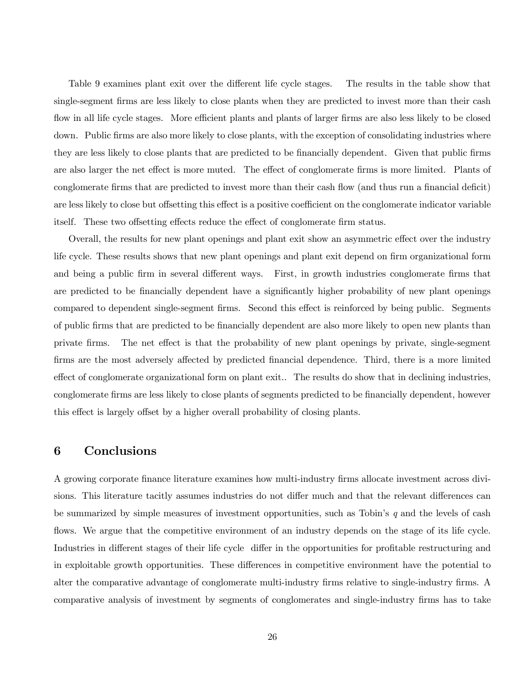Table 9 examines plant exit over the different life cycle stages. The results in the table show that single-segment firms are less likely to close plants when they are predicted to invest more than their cash flow in all life cycle stages. More efficient plants and plants of larger firms are also less likely to be closed down. Public firms are also more likely to close plants, with the exception of consolidating industries where they are less likely to close plants that are predicted to be financially dependent. Given that public firms are also larger the net effect is more muted. The effect of conglomerate firms is more limited. Plants of conglomerate firms that are predicted to invest more than their cash flow (and thus run a financial deficit) are less likely to close but offsetting this effect is a positive coefficient on the conglomerate indicator variable itself. These two offsetting effects reduce the effect of conglomerate firm status.

Overall, the results for new plant openings and plant exit show an asymmetric effect over the industry life cycle. These results shows that new plant openings and plant exit depend on firm organizational form and being a public firm in several different ways. First, in growth industries conglomerate firms that are predicted to be financially dependent have a significantly higher probability of new plant openings compared to dependent single-segment firms. Second this effect is reinforced by being public. Segments of public firms that are predicted to be financially dependent are also more likely to open new plants than private firms. The net effect is that the probability of new plant openings by private, single-segment firms are the most adversely affected by predicted financial dependence. Third, there is a more limited effect of conglomerate organizational form on plant exit.. The results do show that in declining industries, conglomerate firms are less likely to close plants of segments predicted to be financially dependent, however this effect is largely offset by a higher overall probability of closing plants.

## 6 Conclusions

A growing corporate finance literature examines how multi-industry firms allocate investment across divisions. This literature tacitly assumes industries do not differ much and that the relevant differences can be summarized by simple measures of investment opportunities, such as Tobin's  $q$  and the levels of cash flows. We argue that the competitive environment of an industry depends on the stage of its life cycle. Industries in different stages of their life cycle differ in the opportunities for profitable restructuring and in exploitable growth opportunities. These differences in competitive environment have the potential to alter the comparative advantage of conglomerate multi-industry firms relative to single-industry firms. A comparative analysis of investment by segments of conglomerates and single-industry firms has to take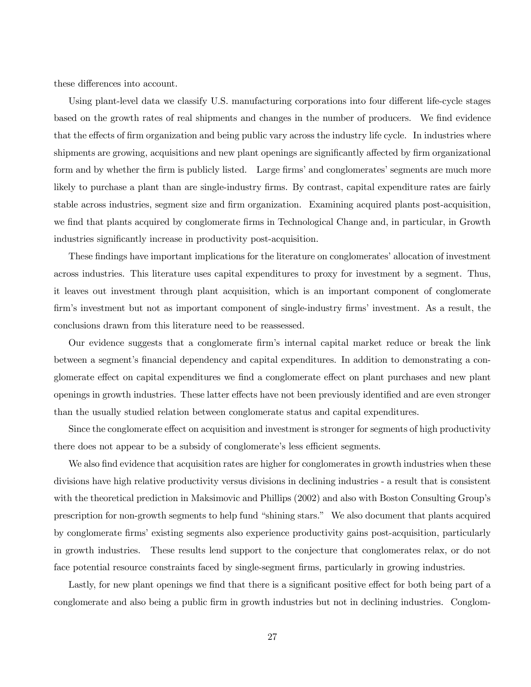these differences into account.

Using plant-level data we classify U.S. manufacturing corporations into four different life-cycle stages based on the growth rates of real shipments and changes in the number of producers. We find evidence that the effects of firm organization and being public vary across the industry life cycle. In industries where shipments are growing, acquisitions and new plant openings are significantly affected by firm organizational form and by whether the firm is publicly listed. Large firms' and conglomerates' segments are much more likely to purchase a plant than are single-industry firms. By contrast, capital expenditure rates are fairly stable across industries, segment size and firm organization. Examining acquired plants post-acquisition, we find that plants acquired by conglomerate firms in Technological Change and, in particular, in Growth industries significantly increase in productivity post-acquisition.

These findings have important implications for the literature on conglomerates' allocation of investment across industries. This literature uses capital expenditures to proxy for investment by a segment. Thus, it leaves out investment through plant acquisition, which is an important component of conglomerate firm's investment but not as important component of single-industry firms' investment. As a result, the conclusions drawn from this literature need to be reassessed.

Our evidence suggests that a conglomerate firm's internal capital market reduce or break the link between a segment's financial dependency and capital expenditures. In addition to demonstrating a conglomerate effect on capital expenditures we find a conglomerate effect on plant purchases and new plant openings in growth industries. These latter effects have not been previously identified and are even stronger than the usually studied relation between conglomerate status and capital expenditures.

Since the conglomerate effect on acquisition and investment is stronger for segments of high productivity there does not appear to be a subsidy of conglomerate's less efficient segments.

We also find evidence that acquisition rates are higher for conglomerates in growth industries when these divisions have high relative productivity versus divisions in declining industries - a result that is consistent with the theoretical prediction in Maksimovic and Phillips (2002) and also with Boston Consulting Group's prescription for non-growth segments to help fund "shining stars." We also document that plants acquired by conglomerate firms' existing segments also experience productivity gains post-acquisition, particularly in growth industries. These results lend support to the conjecture that conglomerates relax, or do not face potential resource constraints faced by single-segment firms, particularly in growing industries.

Lastly, for new plant openings we find that there is a significant positive effect for both being part of a conglomerate and also being a public firm in growth industries but not in declining industries. Conglom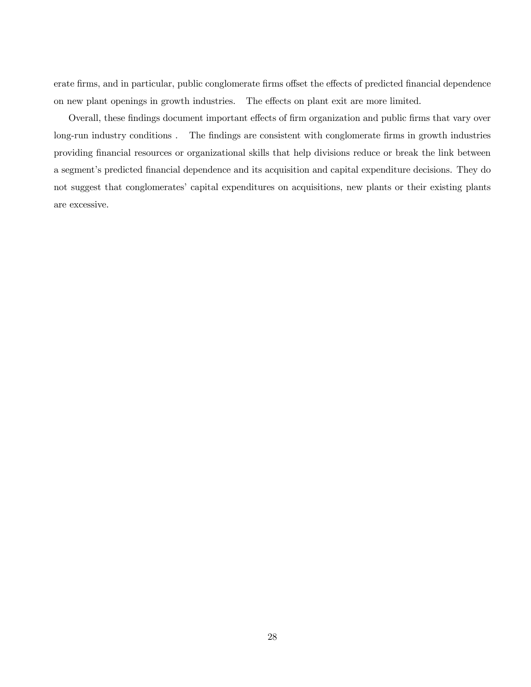erate firms, and in particular, public conglomerate firms offset the effects of predicted financial dependence on new plant openings in growth industries. The effects on plant exit are more limited.

Overall, these findings document important effects of firm organization and public firms that vary over long-run industry conditions . The findings are consistent with conglomerate firms in growth industries providing financial resources or organizational skills that help divisions reduce or break the link between a segment's predicted financial dependence and its acquisition and capital expenditure decisions. They do not suggest that conglomerates' capital expenditures on acquisitions, new plants or their existing plants are excessive.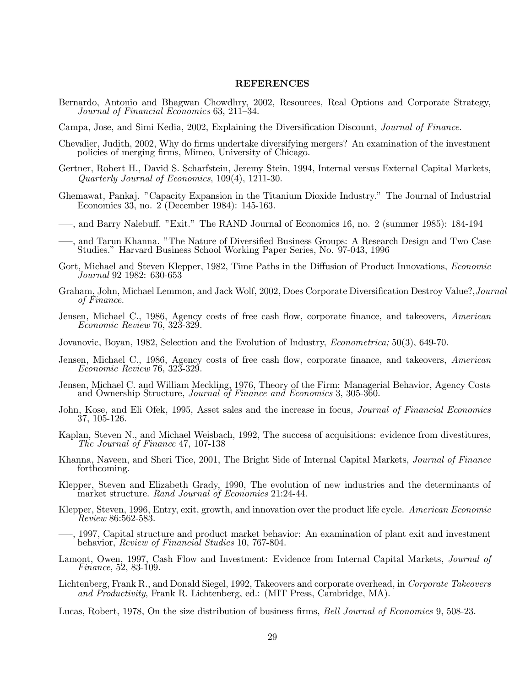#### REFERENCES

- Bernardo, Antonio and Bhagwan Chowdhry, 2002, Resources, Real Options and Corporate Strategy, Journal of Financial Economics 63, 211—34.
- Campa, Jose, and Simi Kedia, 2002, Explaining the Diversification Discount, Journal of Finance.
- Chevalier, Judith, 2002, Why do firms undertake diversifying mergers? An examination of the investment policies of merging firms, Mimeo, University of Chicago.
- Gertner, Robert H., David S. Scharfstein, Jeremy Stein, 1994, Internal versus External Capital Markets, Quarterly Journal of Economics, 109(4), 1211-30.
- Ghemawat, Pankaj. "Capacity Expansion in the Titanium Dioxide Industry." The Journal of Industrial Economics 33, no. 2 (December 1984): 145-163.
- –—, and Barry Nalebuff. "Exit." The RAND Journal of Economics 16, no. 2 (summer 1985): 184-194
- –—, and Tarun Khanna. "The Nature of Diversified Business Groups: A Research Design and Two Case Studies." Harvard Business School Working Paper Series, No. 97-043, <sup>1</sup><sup>996</sup>
- Gort, Michael and Steven Klepper, 1982, Time Paths in the Diffusion of Product Innovations, *Economic* Journal 92 1982: 630-653
- Graham, John, Michael Lemmon, and Jack Wolf, 2002, Does Corporate Diversification Destroy Value?, Journal of Finance.
- Jensen, Michael C., 1986, Agency costs of free cash flow, corporate finance, and takeovers, American Economic Review 76, 323-329.
- Jovanovic, Boyan, 1982, Selection and the Evolution of Industry, *Econometrica*; 50(3), 649-70.
- Jensen, Michael C., 1986, Agency costs of free cash flow, corporate finance, and takeovers, American Economic Review 76, 323-329.
- Jensen, Michael C. and William Meckling, <sup>1</sup>976, Theory of the Firm: Managerial Behavior, Agency Costs and Ownership Structure, Journal of Finance and Economics 3, 305-360.
- John, Kose, and Eli Ofek, 1995, Asset sales and the increase in focus, *Journal of Financial Economics* 37, 105-126.
- Kaplan, Steven N., and Michael Weisbach, 1992, The success of acquisitions: evidence from divestitures, The Journal of Finance 47, 107-138
- Khanna, Naveen, and Sheri Tice, 2001, The Bright Side of Internal Capital Markets, *Journal of Finance* forthcoming.
- Klepper, Steven and Elizabeth Grady, 1990, The evolution of new industries and the determinants of market structure. Rand Journal of Economics 21:24-44.
- Klepper, Steven, 1996, Entry, exit, growth, and innovation over the product life cycle. American Economic Review 86:562-583.
- –—, 1997, Capital structure and product market behavior: An examination of plant exit and investment behavior, Review of Financial Studies 10, 767-804.
- Lamont, Owen, 1997, Cash Flow and Investment: Evidence from Internal Capital Markets, *Journal of* Finance, 52, 83-109.
- Lichtenberg, Frank R., and Donald Siegel, 1992, Takeovers and corporate overhead, in Corporate Takeovers and Productivity, Frank R. Lichtenberg, ed.: (MIT Press, Cambridge, MA).

Lucas, Robert, 1978, On the size distribution of business firms, Bell Journal of Economics 9, 508-23.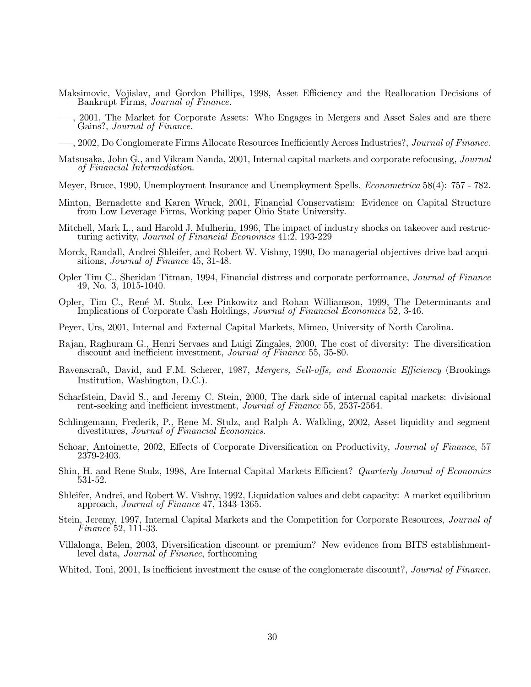- Maksimovic, Vojislav, and Gordon Phillips, 1998, Asset Efficiency and the Reallocation Decisions of Bankrupt Firms, Journal of Finance.
- –—, 2001, The Market for Corporate Assets: Who Engages in Mergers and Asset Sales and are there Gains?, Journal of Finance.
- $-$ , 2002, Do Conglomerate Firms Allocate Resources Inefficiently Across Industries?, *Journal of Finance*.
- Matsusaka, John G., and Vikram Nanda, 2001, Internal capital markets and corporate refocusing, Journal of Financial Intermediation.
- Meyer, Bruce, 1990, Unemployment Insurance and Unemployment Spells, *Econometrica* 58(4): 757 782.
- Minton, Bernadette and Karen Wruck, 2001, Financial Conservatism: Evidence on Capital Structure from Low Leverage Firms, Working paper Ohio State University.
- Mitchell, Mark L., and Harold J. Mulherin, 1996, The impact of industry shocks on takeover and restructuring activity, Journal of Financial Economics 41:2, 193-229
- Morck, Randall, Andrei Shleifer, and Robert W. Vishny, 1990, Do managerial objectives drive bad acquisitions, Journal of Finance 45, 31-48.
- Opler Tim C., Sheridan Titman, 1994, Financial distress and corporate performance, Journal of Finance 49, No. 3, 1015-1040.
- Opler, Tim C., René M. Stulz, Lee Pinkowitz and Rohan Williamson, 1999, The Determinants and Implications of Corporate Cash Holdings, Journal of Financial Economics 52, 3-46.
- Peyer, Urs, 2001, Internal and External Capital Markets, Mimeo, University of North Carolina.
- Rajan, Raghuram G., Henri Servaes and Luigi Zingales, 2000, The cost of diversity: The diversification discount and inefficient investment, *Journal of Finance* 55, 35-80.
- Ravenscraft, David, and F.M. Scherer, 1987, Mergers, Sell-offs, and Economic Efficiency (Brookings Institution, Washington, D.C.).
- Scharfstein, David S., and Jeremy C. Stein, 2000, The dark side of internal capital markets: divisional rent-seeking and inefficient investment, Journal of Finance 55, 2537-2564.
- Schlingemann, Frederik, P., Rene M. Stulz, and Ralph A. Walkling, 2002, Asset liquidity and segment divestitures, Journal of Financial Economics.
- Schoar, Antoinette, 2002, Effects of Corporate Diversification on Productivity, *Journal of Finance*, 57 2379-2403.
- Shin, H. and Rene Stulz, 1998, Are Internal Capital Markets Efficient? Quarterly Journal of Economics 531-52.
- Shleifer, Andrei, and Robert W. Vishny, 1992, Liquidation values and debt capacity: A market equilibrium approach, Journal of Finance 47, 1343-1365.
- Stein, Jeremy, 1997, Internal Capital Markets and the Competition for Corporate Resources, *Journal of* Finance 52, 111-33.
- Villalonga, Belen, 2003, Diversification discount or premium? New evidence from BITS establishmentlevel data, *Journal of Finance*, forthcoming

Whited, Toni, 2001, Is inefficient investment the cause of the conglomerate discount?, *Journal of Finance*.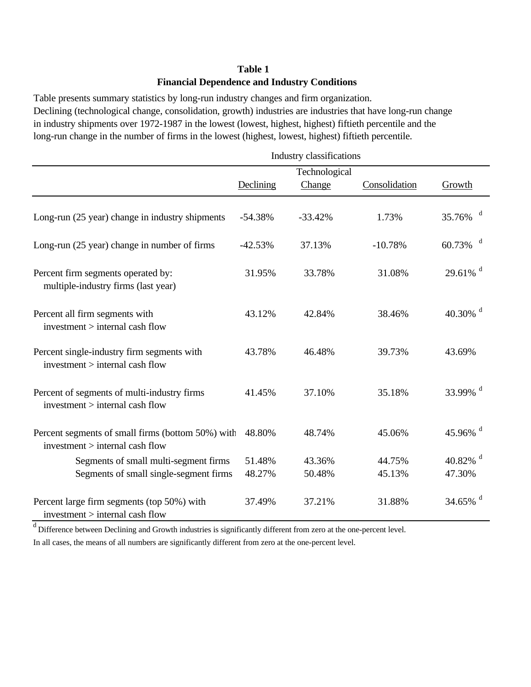## **Table 1 Financial Dependence and Industry Conditions**

Table presents summary statistics by long-run industry changes and firm organization. Declining (technological change, consolidation, growth) industries are industries that have long-run change in industry shipments over 1972-1987 in the lowest (lowest, highest, highest) fiftieth percentile and the long-run change in the number of firms in the lowest (highest, lowest, highest) fiftieth percentile.

|                                                                                      | Industry classifications |                  |                  |                        |  |  |  |
|--------------------------------------------------------------------------------------|--------------------------|------------------|------------------|------------------------|--|--|--|
|                                                                                      |                          | Technological    |                  |                        |  |  |  |
|                                                                                      | Declining                | Change           | Consolidation    | Growth                 |  |  |  |
| Long-run (25 year) change in industry shipments                                      | $-54.38%$                | $-33.42%$        | 1.73%            | d<br>35.76%            |  |  |  |
| Long-run (25 year) change in number of firms                                         | $-42.53%$                | 37.13%           | $-10.78%$        | d<br>60.73%            |  |  |  |
| Percent firm segments operated by:<br>multiple-industry firms (last year)            | 31.95%                   | 33.78%           | 31.08%           | $29.61\%$ <sup>d</sup> |  |  |  |
| Percent all firm segments with<br>investment > internal cash flow                    | 43.12%                   | 42.84%           | 38.46%           | 40.30% $d$             |  |  |  |
| Percent single-industry firm segments with<br>investment > internal cash flow        | 43.78%                   | 46.48%           | 39.73%           | 43.69%                 |  |  |  |
| Percent of segments of multi-industry firms<br>investment > internal cash flow       | 41.45%                   | 37.10%           | 35.18%           | 33.99% d               |  |  |  |
| Percent segments of small firms (bottom 50%) with<br>investment > internal cash flow | 48.80%                   | 48.74%           | 45.06%           | 45.96% $d$             |  |  |  |
| Segments of small multi-segment firms<br>Segments of small single-segment firms      | 51.48%<br>48.27%         | 43.36%<br>50.48% | 44.75%<br>45.13% | 40.82% $d$<br>47.30%   |  |  |  |
|                                                                                      |                          |                  |                  |                        |  |  |  |
| Percent large firm segments (top 50%) with<br>$investment$ > internal cash flow      | 37.49%                   | 37.21%           | 31.88%           | 34.65% $d$             |  |  |  |

 $d$  Difference between Declining and Growth industries is significantly different from zero at the one-percent level.

In all cases, the means of all numbers are significantly different from zero at the one-percent level.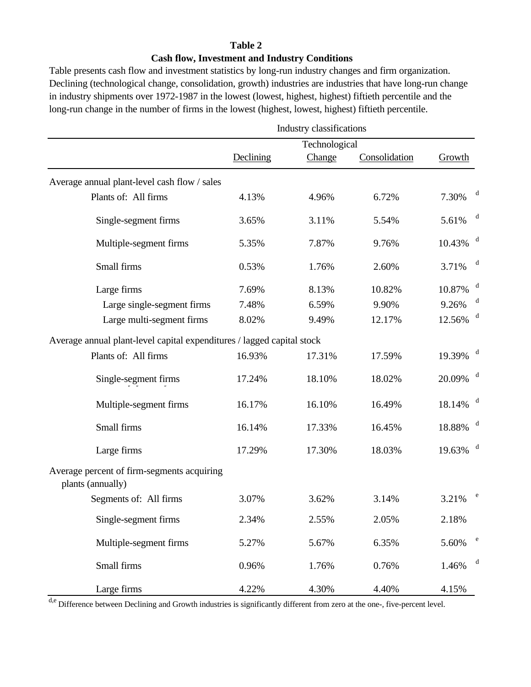## **Table 2 Cash flow, Investment and Industry Conditions**

Table presents cash flow and investment statistics by long-run industry changes and firm organization. Declining (technological change, consolidation, growth) industries are industries that have long-run change in industry shipments over 1972-1987 in the lowest (lowest, highest, highest) fiftieth percentile and the long-run change in the number of firms in the lowest (highest, lowest, highest) fiftieth percentile.

|                                                                        |           | Industry classifications |               |                        |             |
|------------------------------------------------------------------------|-----------|--------------------------|---------------|------------------------|-------------|
|                                                                        |           | Technological            |               |                        |             |
|                                                                        | Declining | Change                   | Consolidation | Growth                 |             |
| Average annual plant-level cash flow / sales                           |           |                          |               |                        |             |
| Plants of: All firms                                                   | 4.13%     | 4.96%                    | 6.72%         | 7.30%                  | d           |
| Single-segment firms                                                   | 3.65%     | 3.11%                    | 5.54%         | 5.61%                  | d           |
| Multiple-segment firms                                                 | 5.35%     | 7.87%                    | 9.76%         | 10.43%                 | d           |
| Small firms                                                            | 0.53%     | 1.76%                    | 2.60%         | 3.71%                  | d           |
| Large firms                                                            | 7.69%     | 8.13%                    | 10.82%        | 10.87%                 | d           |
| Large single-segment firms                                             | 7.48%     | 6.59%                    | 9.90%         | 9.26%                  | d           |
| Large multi-segment firms                                              | 8.02%     | 9.49%                    | 12.17%        | 12.56%                 | d           |
| Average annual plant-level capital expenditures / lagged capital stock |           |                          |               |                        |             |
| Plants of: All firms                                                   | 16.93%    | 17.31%                   | 17.59%        | 19.39%                 | $\mathbf d$ |
| Single-segment firms                                                   | 17.24%    | 18.10%                   | 18.02%        | 20.09%                 | d           |
| Multiple-segment firms                                                 | 16.17%    | 16.10%                   | 16.49%        | $18.14\%$ <sup>d</sup> |             |
| Small firms                                                            | 16.14%    | 17.33%                   | 16.45%        | 18.88%                 | d           |
| Large firms                                                            | 17.29%    | 17.30%                   | 18.03%        | 19.63%                 | d           |
| Average percent of firm-segments acquiring<br>plants (annually)        |           |                          |               |                        |             |
| Segments of: All firms                                                 | 3.07%     | 3.62%                    | 3.14%         | 3.21%                  |             |
| Single-segment firms                                                   | 2.34%     | 2.55%                    | 2.05%         | 2.18%                  |             |
| Multiple-segment firms                                                 | 5.27%     | 5.67%                    | 6.35%         | 5.60%                  | $\rm e$     |
| Small firms                                                            | 0.96%     | 1.76%                    | 0.76%         | 1.46%                  | d           |
| Large firms                                                            | 4.22%     | 4.30%                    | 4.40%         | 4.15%                  |             |

d,e Difference between Declining and Growth industries is significantly different from zero at the one-, five-percent level.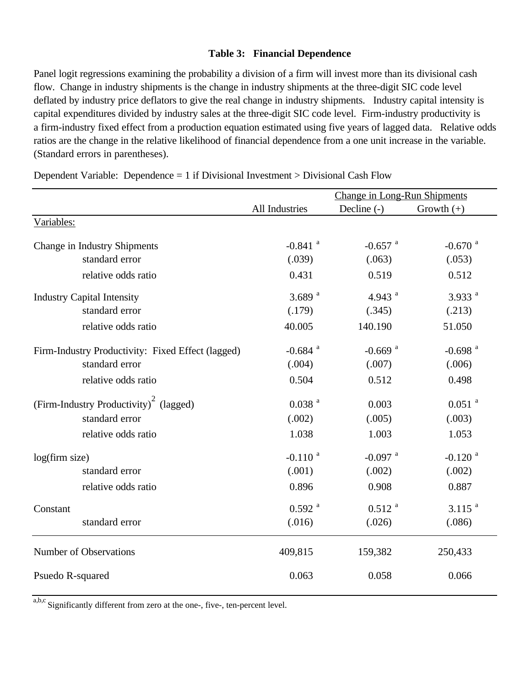### **Table 3: Financial Dependence**

Panel logit regressions examining the probability a division of a firm will invest more than its divisional cash flow. Change in industry shipments is the change in industry shipments at the three-digit SIC code level deflated by industry price deflators to give the real change in industry shipments. Industry capital intensity is capital expenditures divided by industry sales at the three-digit SIC code level. Firm-industry productivity is a firm-industry fixed effect from a production equation estimated using five years of lagged data. Relative odds ratios are the change in the relative likelihood of financial dependence from a one unit increase in the variable. (Standard errors in parentheses).

|                                                    | <b>Change in Long-Run Shipments</b> |                       |                       |  |
|----------------------------------------------------|-------------------------------------|-----------------------|-----------------------|--|
|                                                    | All Industries                      | Decline $(-)$         | Growth $(+)$          |  |
| Variables:                                         |                                     |                       |                       |  |
| Change in Industry Shipments                       | $-0.841$ <sup>a</sup>               | $-0.657$ <sup>a</sup> | $-0.670$ <sup>a</sup> |  |
| standard error                                     | (.039)                              | (.063)                | (.053)                |  |
| relative odds ratio                                | 0.431                               | 0.519                 | 0.512                 |  |
| <b>Industry Capital Intensity</b>                  | 3.689 $^{a}$                        | 4.943 $^{a}$          | 3.933 $a$             |  |
| standard error                                     | (.179)                              | (.345)                | (.213)                |  |
| relative odds ratio                                | 40.005                              | 140.190               | 51.050                |  |
| Firm-Industry Productivity: Fixed Effect (lagged)  | $-0.684$ <sup>a</sup>               | $-0.669$ <sup>a</sup> | $-0.698$ <sup>a</sup> |  |
| standard error                                     | (.004)                              | (.007)                | (.006)                |  |
| relative odds ratio                                | 0.504                               | 0.512                 | 0.498                 |  |
| (Firm-Industry Productivity) <sup>2</sup> (lagged) | $0.038$ <sup>a</sup>                | 0.003                 | $0.051$ <sup>a</sup>  |  |
| standard error                                     | (.002)                              | (.005)                | (.003)                |  |
| relative odds ratio                                | 1.038                               | 1.003                 | 1.053                 |  |
| log(firm size)                                     | $-0.110$ <sup>a</sup>               | $-0.097$ <sup>a</sup> | $-0.120$ <sup>a</sup> |  |
| standard error                                     | (.001)                              | (.002)                | (.002)                |  |
| relative odds ratio                                | 0.896                               | 0.908                 | 0.887                 |  |
| Constant                                           | $0.592$ <sup>a</sup>                | $0.512$ <sup>a</sup>  | $3.115$ <sup>a</sup>  |  |
| standard error                                     | (.016)                              | (.026)                | (.086)                |  |
| Number of Observations                             | 409,815                             | 159,382               | 250,433               |  |
| Psuedo R-squared                                   | 0.063                               | 0.058                 | 0.066                 |  |

Dependent Variable: Dependence  $= 1$  if Divisional Investment  $>$  Divisional Cash Flow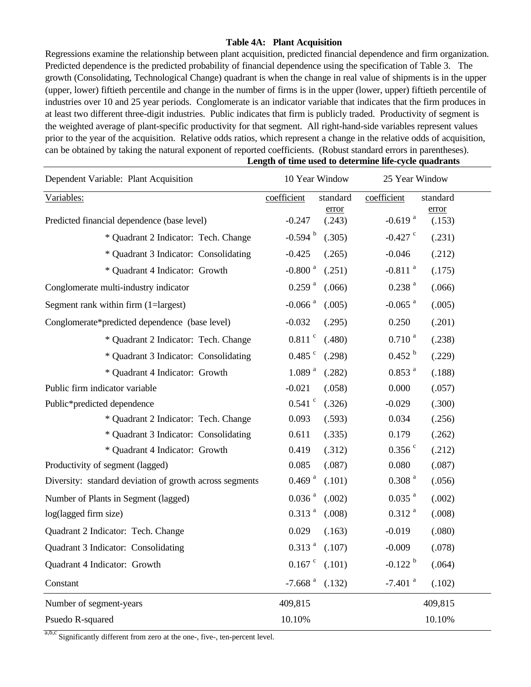### **Table 4A: Plant Acquisition**

**Length of time used to determine life-cycle quadrants** Regressions examine the relationship between plant acquisition, predicted financial dependence and firm organization. Predicted dependence is the predicted probability of financial dependence using the specification of Table 3. The growth (Consolidating, Technological Change) quadrant is when the change in real value of shipments is in the upper (upper, lower) fiftieth percentile and change in the number of firms is in the upper (lower, upper) fiftieth percentile of industries over 10 and 25 year periods. Conglomerate is an indicator variable that indicates that the firm produces in at least two different three-digit industries. Public indicates that firm is publicly traded. Productivity of segment is the weighted average of plant-specific productivity for that segment. All right-hand-side variables represent values prior to the year of the acquisition. Relative odds ratios, which represent a change in the relative odds of acquisition, can be obtained by taking the natural exponent of reported coefficients. (Robust standard errors in parentheses).

| Dependent Variable: Plant Acquisition                   | 10 Year Window                  | 25 Year Window                           |
|---------------------------------------------------------|---------------------------------|------------------------------------------|
| Variables:                                              | coefficient<br>standard         | coefficient<br>standard                  |
| Predicted financial dependence (base level)             | error<br>$-0.247$<br>(.243)     | error<br>$-0.619$ <sup>a</sup><br>(.153) |
| * Quadrant 2 Indicator: Tech. Change                    | $-0.594$ <sup>b</sup><br>(.305) | $-0.427$ $\degree$<br>(.231)             |
| * Quadrant 3 Indicator: Consolidating                   | $-0.425$<br>(.265)              | $-0.046$<br>(.212)                       |
| * Quadrant 4 Indicator: Growth                          | $-0.800$ <sup>a</sup><br>(.251) | $-0.811$ <sup>a</sup><br>(.175)          |
| Conglomerate multi-industry indicator                   | $0.259$ <sup>a</sup><br>(.066)  | $0.238$ <sup>a</sup><br>(.066)           |
| Segment rank within firm (1=largest)                    | $-0.066$ <sup>a</sup><br>(.005) | $-0.065$ <sup>a</sup><br>(.005)          |
| Conglomerate*predicted dependence (base level)          | $-0.032$<br>(.295)              | 0.250<br>(.201)                          |
| * Quadrant 2 Indicator: Tech. Change                    | $0.811$ $\degree$<br>(.480)     | 0.710 <sup>a</sup><br>(.238)             |
| * Quadrant 3 Indicator: Consolidating                   | $0.485$ $\degree$<br>(.298)     | $0.452^{b}$<br>(.229)                    |
| * Quadrant 4 Indicator: Growth                          | 1.089 <sup>a</sup><br>(.282)    | $0.853$ <sup>a</sup><br>(.188)           |
| Public firm indicator variable                          | $-0.021$<br>(.058)              | 0.000<br>(.057)                          |
| Public*predicted dependence                             | $0.541$ $\degree$<br>(.326)     | $-0.029$<br>(.300)                       |
| * Quadrant 2 Indicator: Tech. Change                    | 0.093<br>(.593)                 | 0.034<br>(.256)                          |
| * Quadrant 3 Indicator: Consolidating                   | 0.611<br>(.335)                 | 0.179<br>(.262)                          |
| * Quadrant 4 Indicator: Growth                          | 0.419<br>(.312)                 | $0.356$ $\degree$<br>(.212)              |
| Productivity of segment (lagged)                        | 0.085<br>(.087)                 | 0.080<br>(.087)                          |
| Diversity: standard deviation of growth across segments | $0.469$ <sup>a</sup><br>(.101)  | 0.308 <sup>a</sup><br>(.056)             |
| Number of Plants in Segment (lagged)                    | $0.036$ <sup>a</sup><br>(.002)  | $0.035$ <sup>a</sup><br>(.002)           |
| log(lagged firm size)                                   | $0.313$ <sup>a</sup><br>(.008)  | $0.312$ <sup>a</sup><br>(.008)           |
| Quadrant 2 Indicator: Tech. Change                      | 0.029<br>(.163)                 | $-0.019$<br>(.080)                       |
| Quadrant 3 Indicator: Consolidating                     | $0.313$ <sup>a</sup><br>(.107)  | $-0.009$<br>(.078)                       |
| Quadrant 4 Indicator: Growth                            | $0.167$ $\degree$<br>(.101)     | $-0.122$ <sup>b</sup><br>(.064)          |
| Constant                                                | $-7.668$ <sup>a</sup><br>(.132) | $-7.401$ <sup>a</sup><br>(.102)          |
| Number of segment-years                                 | 409,815                         | 409,815                                  |
| Psuedo R-squared                                        | 10.10%                          | 10.10%                                   |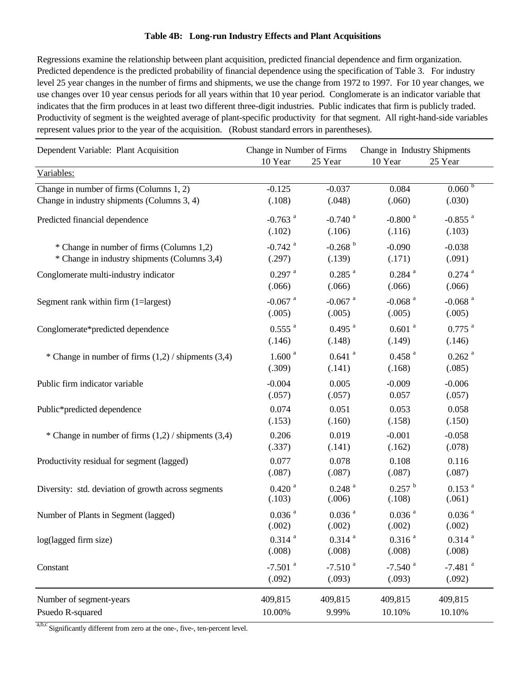### **Table 4B: Long-run Industry Effects and Plant Acquisitions**

Regressions examine the relationship between plant acquisition, predicted financial dependence and firm organization. Predicted dependence is the predicted probability of financial dependence using the specification of Table 3. For industry level 25 year changes in the number of firms and shipments, we use the change from 1972 to 1997. For 10 year changes, we use changes over 10 year census periods for all years within that 10 year period. Conglomerate is an indicator variable that indicates that the firm produces in at least two different three-digit industries. Public indicates that firm is publicly traded. Productivity of segment is the weighted average of plant-specific productivity for that segment. All right-hand-side variables represent values prior to the year of the acquisition. (Robust standard errors in parentheses).

| Dependent Variable: Plant Acquisition                   | Change in Number of Firms<br>25 Year<br>10 Year |                       | Change in Industry Shipments<br>10 Year<br>25 Year |                       |  |
|---------------------------------------------------------|-------------------------------------------------|-----------------------|----------------------------------------------------|-----------------------|--|
| Variables:                                              |                                                 |                       |                                                    |                       |  |
| Change in number of firms (Columns 1, 2)                | $-0.125$                                        | $-0.037$              | 0.084                                              | 0.060 <sup>b</sup>    |  |
| Change in industry shipments (Columns 3, 4)             | (.108)                                          | (.048)                | (.060)                                             | (.030)                |  |
| Predicted financial dependence                          | $-0.763$ <sup>a</sup>                           | $-0.740$ <sup>a</sup> | $-0.800$ <sup>a</sup>                              | $-0.855$ <sup>a</sup> |  |
|                                                         | (.102)                                          | (.106)                | (.116)                                             | (.103)                |  |
| * Change in number of firms (Columns 1,2)               | $-0.742$ <sup>a</sup>                           | $-0.268$ <sup>b</sup> | $-0.090$                                           | $-0.038$              |  |
| * Change in industry shipments (Columns 3,4)            | (.297)                                          | (.139)                | (.171)                                             | (.091)                |  |
| Conglomerate multi-industry indicator                   | $0.297$ <sup>a</sup>                            | $0.285$ <sup>a</sup>  | $0.284$ <sup>a</sup>                               | $0.274$ <sup>a</sup>  |  |
|                                                         | (.066)                                          | (.066)                | (.066)                                             | (.066)                |  |
| Segment rank within firm (1=largest)                    | $-0.067$ <sup>a</sup>                           | $-0.067$ <sup>a</sup> | $-0.068$ <sup>a</sup>                              | $-0.068$ <sup>a</sup> |  |
|                                                         | (.005)                                          | (.005)                | (.005)                                             | (.005)                |  |
| Conglomerate*predicted dependence                       | $0.555$ <sup>a</sup>                            | $0.495$ <sup>a</sup>  | $0.601$ <sup>a</sup>                               | $0.775$ <sup>a</sup>  |  |
|                                                         | (.146)                                          | (.148)                | (.149)                                             | (.146)                |  |
| * Change in number of firms $(1,2)$ / shipments $(3,4)$ | 1.600 <sup>a</sup>                              | $0.641$ <sup>a</sup>  | $0.458$ <sup>a</sup>                               | $0.262$ <sup>a</sup>  |  |
|                                                         | (.309)                                          | (.141)                | (.168)                                             | (.085)                |  |
| Public firm indicator variable                          | $-0.004$                                        | 0.005                 | $-0.009$                                           | $-0.006$              |  |
|                                                         | (.057)                                          | (.057)                | 0.057                                              | (.057)                |  |
| Public*predicted dependence                             | 0.074                                           | 0.051                 | 0.053                                              | 0.058                 |  |
|                                                         | (.153)                                          | (.160)                | (.158)                                             | (.150)                |  |
| * Change in number of firms $(1,2)$ / shipments $(3,4)$ | 0.206                                           | 0.019                 | $-0.001$                                           | $-0.058$              |  |
|                                                         | (.337)                                          | (.141)                | (.162)                                             | (.078)                |  |
| Productivity residual for segment (lagged)              | 0.077                                           | 0.078                 | 0.108                                              | 0.116                 |  |
|                                                         | (.087)                                          | (.087)                | (.087)                                             | (.087)                |  |
| Diversity: std. deviation of growth across segments     | $0.420$ <sup>a</sup>                            | $0.248$ <sup>a</sup>  | $0.257$ <sup>b</sup>                               | $0.153$ <sup>a</sup>  |  |
|                                                         | (.103)                                          | (.006)                | (.108)                                             | (.061)                |  |
| Number of Plants in Segment (lagged)                    | $0.036$ <sup>a</sup>                            | $0.036$ <sup>a</sup>  | $0.036$ <sup>a</sup>                               | $0.036$ <sup>a</sup>  |  |
|                                                         | (.002)                                          | (.002)                | (.002)                                             | (.002)                |  |
| log(lagged firm size)                                   | $0.314$ <sup>a</sup>                            | $0.314$ <sup>a</sup>  | $0.316$ <sup>a</sup>                               | $0.314$ <sup>a</sup>  |  |
|                                                         | (.008)                                          | (.008)                | (.008)                                             | (.008)                |  |
| Constant                                                | $-7.501$ <sup>a</sup>                           | $-7.510$ <sup>a</sup> | $-7.540$ <sup>a</sup>                              | $-7.481$ <sup>a</sup> |  |
|                                                         | (.092)                                          | (.093)                | (.093)                                             | (.092)                |  |
| Number of segment-years                                 | 409,815                                         | 409,815               | 409,815                                            | 409,815               |  |
| Psuedo R-squared                                        | 10.00%                                          | 9.99%                 | 10.10%                                             | 10.10%                |  |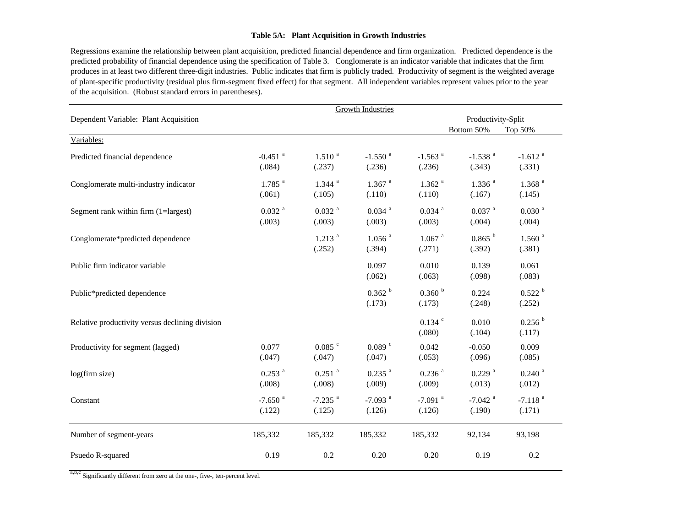#### **Table 5A: Plant Acquisition in Growth Industries**

Regressions examine the relationship between plant acquisition, predicted financial dependence and firm organization. Predicted dependence is the predicted probability of financial dependence using the specification of Table 3. Conglomerate is an indicator variable that indicates that the firm produces in at least two different three-digit industries. Public indicates that firm is publicly traded. Productivity of segment is the weighted average of plant-specific productivity (residual plus firm-segment fixed effect) for that segment. All independent variables represent values prior to the year of the acquisition. (Robust standard errors in parentheses).

|                                                 |                                 | <b>Growth Industries</b>        |                                 |                                 |                                 |                                 |  |
|-------------------------------------------------|---------------------------------|---------------------------------|---------------------------------|---------------------------------|---------------------------------|---------------------------------|--|
| Dependent Variable: Plant Acquisition           |                                 |                                 |                                 |                                 | Productivity-Split              |                                 |  |
| Variables:                                      |                                 |                                 |                                 |                                 | Bottom 50%                      | Top 50%                         |  |
| Predicted financial dependence                  | $-0.451$ <sup>a</sup><br>(.084) | $1.510^{a}$<br>(.237)           | $-1.550$ <sup>a</sup><br>(.236) | $-1.563$ <sup>a</sup><br>(.236) | $-1.538$ <sup>a</sup><br>(.343) | $-1.612$ <sup>a</sup><br>(.331) |  |
| Conglomerate multi-industry indicator           | $1.785$ <sup>a</sup><br>(.061)  | $1.344$ <sup>a</sup><br>(.105)  | $1.367$ <sup>a</sup><br>(.110)  | $1.362$ <sup>a</sup><br>(.110)  | $1.336$ <sup>a</sup><br>(.167)  | $1.368$ <sup>a</sup><br>(.145)  |  |
| Segment rank within firm (1=largest)            | $0.032$ <sup>a</sup><br>(.003)  | $0.032$ <sup>a</sup><br>(.003)  | $0.034$ <sup>a</sup><br>(.003)  | $0.034$ <sup>a</sup><br>(.003)  | $0.037$ <sup>a</sup><br>(.004)  | $0.030$ <sup>a</sup><br>(.004)  |  |
| Conglomerate*predicted dependence               |                                 | $1.213$ <sup>a</sup><br>(.252)  | $1.056$ <sup>a</sup><br>(.394)  | $1.067$ <sup>a</sup><br>(.271)  | 0.865 <sup>b</sup><br>(.392)    | 1.560 <sup>a</sup><br>(.381)    |  |
| Public firm indicator variable                  |                                 |                                 | 0.097<br>(.062)                 | 0.010<br>(.063)                 | 0.139<br>(.098)                 | 0.061<br>(.083)                 |  |
| Public*predicted dependence                     |                                 |                                 | 0.362 h<br>(.173)               | 0.360 h<br>(.173)               | 0.224<br>(.248)                 | 0.522 h<br>(.252)               |  |
| Relative productivity versus declining division |                                 |                                 |                                 | $0.134$ $\degree$<br>(.080)     | 0.010<br>(.104)                 | 0.256 <sup>b</sup><br>(.117)    |  |
| Productivity for segment (lagged)               | 0.077<br>(.047)                 | $0.085$ $\degree$<br>(.047)     | $0.089$ $\degree$<br>(.047)     | 0.042<br>(.053)                 | $-0.050$<br>(.096)              | 0.009<br>(.085)                 |  |
| log(firm size)                                  | $0.253$ <sup>a</sup><br>(.008)  | $0.251$ <sup>a</sup><br>(.008)  | $0.235$ <sup>a</sup><br>(.009)  | $0.236$ <sup>a</sup><br>(.009)  | $0.229$ <sup>a</sup><br>(.013)  | $0.240$ <sup>a</sup><br>(.012)  |  |
| Constant                                        | $-7.650$ <sup>a</sup><br>(.122) | $-7.235$ <sup>a</sup><br>(.125) | $-7.093$ <sup>a</sup><br>(.126) | $-7.091$ <sup>a</sup><br>(.126) | $-7.042$ <sup>a</sup><br>(.190) | $-7.118$ <sup>a</sup><br>(.171) |  |
| Number of segment-years                         | 185,332                         | 185,332                         | 185,332                         | 185,332                         | 92,134                          | 93,198                          |  |
| Psuedo R-squared                                | 0.19                            | 0.2                             | 0.20                            | 0.20                            | 0.19                            | 0.2                             |  |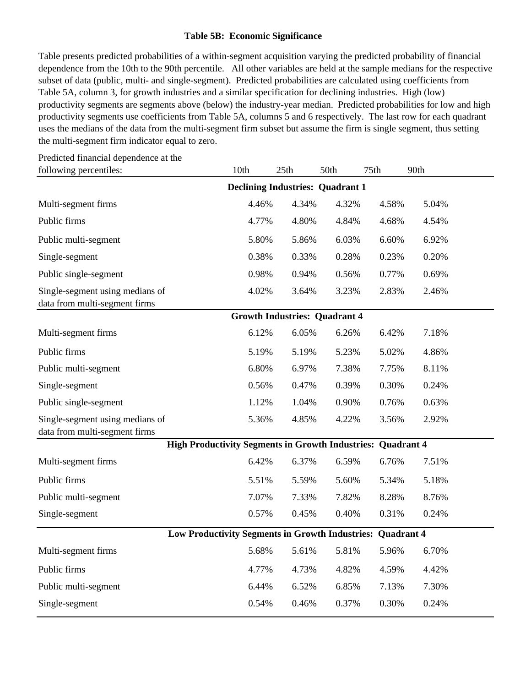### **Table 5B: Economic Significance**

Table presents predicted probabilities of a within-segment acquisition varying the predicted probability of financial dependence from the 10th to the 90th percentile. All other variables are held at the sample medians for the respective subset of data (public, multi- and single-segment). Predicted probabilities are calculated using coefficients from Table 5A, column 3, for growth industries and a similar specification for declining industries. High (low) productivity segments are segments above (below) the industry-year median. Predicted probabilities for low and high productivity segments use coefficients from Table 5A, columns 5 and 6 respectively. The last row for each quadrant uses the medians of the data from the multi-segment firm subset but assume the firm is single segment, thus setting the multi-segment firm indicator equal to zero.

| following percentiles:                                             | 10th                                    | 25th  | 50th<br>75th                         |                   | 90th  |  |
|--------------------------------------------------------------------|-----------------------------------------|-------|--------------------------------------|-------------------|-------|--|
|                                                                    | <b>Declining Industries: Quadrant 1</b> |       |                                      |                   |       |  |
| Multi-segment firms                                                | 4.46%                                   | 4.34% | 4.32%                                | 4.58%             | 5.04% |  |
| Public firms                                                       | 4.77%                                   | 4.80% | 4.84%                                | 4.68%             | 4.54% |  |
| Public multi-segment                                               | 5.80%                                   | 5.86% | 6.03%                                | 6.60%             | 6.92% |  |
| Single-segment                                                     | 0.38%                                   | 0.33% | 0.28%                                | 0.23%             | 0.20% |  |
| Public single-segment                                              | 0.98%                                   | 0.94% | 0.56%                                | 0.77%             | 0.69% |  |
| Single-segment using medians of                                    | 4.02%                                   | 3.64% | 3.23%                                | 2.83%             | 2.46% |  |
| data from multi-segment firms                                      |                                         |       | <b>Growth Industries: Quadrant 4</b> |                   |       |  |
| Multi-segment firms                                                | 6.12%                                   | 6.05% | 6.26%                                | 6.42%             | 7.18% |  |
| Public firms                                                       | 5.19%                                   | 5.19% | 5.23%                                | 5.02%             | 4.86% |  |
| Public multi-segment                                               | 6.80%                                   | 6.97% | 7.38%                                | 7.75%             | 8.11% |  |
| Single-segment                                                     | 0.56%                                   | 0.47% | 0.39%                                | 0.30%             | 0.24% |  |
| Public single-segment                                              | 1.12%                                   | 1.04% | 0.90%                                | 0.76%             | 0.63% |  |
| Single-segment using medians of<br>data from multi-segment firms   | 5.36%                                   | 4.85% | 4.22%                                | 3.56%             | 2.92% |  |
| <b>High Productivity Segments in Growth Industries: Quadrant 4</b> |                                         |       |                                      |                   |       |  |
| Multi-segment firms                                                | 6.42%                                   | 6.37% | 6.59%                                | 6.76%             | 7.51% |  |
| Public firms                                                       | 5.51%                                   | 5.59% | 5.60%                                | 5.34%             | 5.18% |  |
| Public multi-segment                                               | 7.07%                                   | 7.33% | 7.82%                                | 8.28%             | 8.76% |  |
| Single-segment                                                     | 0.57%                                   | 0.45% | 0.40%                                | 0.31%             | 0.24% |  |
| Low Productivity Segments in Growth Industries:                    |                                         |       |                                      | <b>Quadrant 4</b> |       |  |
| Multi-segment firms                                                | 5.68%                                   | 5.61% | 5.81%                                | 5.96%             | 6.70% |  |
| Public firms                                                       | 4.77%                                   | 4.73% | 4.82%                                | 4.59%             | 4.42% |  |
| Public multi-segment                                               | 6.44%                                   | 6.52% | 6.85%                                | 7.13%             | 7.30% |  |
| Single-segment                                                     | 0.54%                                   | 0.46% | 0.37%                                | 0.30%             | 0.24% |  |

Predicted financial dependence at the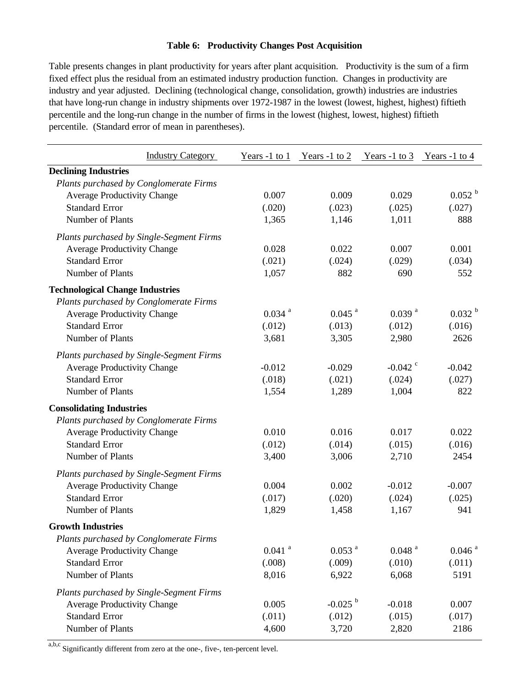### **Table 6: Productivity Changes Post Acquisition**

Table presents changes in plant productivity for years after plant acquisition. Productivity is the sum of a firm fixed effect plus the residual from an estimated industry production function. Changes in productivity are industry and year adjusted. Declining (technological change, consolidation, growth) industries are industries that have long-run change in industry shipments over 1972-1987 in the lowest (lowest, highest, highest) fiftieth percentile and the long-run change in the number of firms in the lowest (highest, lowest, highest) fiftieth percentile. (Standard error of mean in parentheses).

| <b>Industry Category</b>                 | Years $-1$ to $1$    | Years -1 to 2         | Years -1 to 3        | $\frac{\text{Years}}{1}$ to 4 |
|------------------------------------------|----------------------|-----------------------|----------------------|-------------------------------|
| <b>Declining Industries</b>              |                      |                       |                      |                               |
| Plants purchased by Conglomerate Firms   |                      |                       |                      |                               |
| <b>Average Productivity Change</b>       | 0.007                | 0.009                 | 0.029                | 0.052 <sup>b</sup>            |
| <b>Standard Error</b>                    | (.020)               | (.023)                | (.025)               | (.027)                        |
| Number of Plants                         | 1,365                | 1,146                 | 1,011                | 888                           |
| Plants purchased by Single-Segment Firms |                      |                       |                      |                               |
| <b>Average Productivity Change</b>       | 0.028                | 0.022                 | 0.007                | 0.001                         |
| <b>Standard Error</b>                    | (.021)               | (.024)                | (.029)               | (.034)                        |
| Number of Plants                         | 1,057                | 882                   | 690                  | 552                           |
| <b>Technological Change Industries</b>   |                      |                       |                      |                               |
| Plants purchased by Conglomerate Firms   |                      |                       |                      |                               |
| <b>Average Productivity Change</b>       | $0.034$ <sup>a</sup> | $0.045$ <sup>a</sup>  | $0.039$ <sup>a</sup> | 0.032 <sup>b</sup>            |
| <b>Standard Error</b>                    | (.012)               | (.013)                | (.012)               | (.016)                        |
| Number of Plants                         | 3,681                | 3,305                 | 2,980                | 2626                          |
| Plants purchased by Single-Segment Firms |                      |                       |                      |                               |
| <b>Average Productivity Change</b>       | $-0.012$             | $-0.029$              | $-0.042$ °           | $-0.042$                      |
| <b>Standard Error</b>                    | (.018)               | (.021)                | (.024)               | (.027)                        |
| Number of Plants                         | 1,554                | 1,289                 | 1,004                | 822                           |
| <b>Consolidating Industries</b>          |                      |                       |                      |                               |
| Plants purchased by Conglomerate Firms   |                      |                       |                      |                               |
| <b>Average Productivity Change</b>       | 0.010                | 0.016                 | 0.017                | 0.022                         |
| <b>Standard Error</b>                    | (.012)               | (.014)                | (.015)               | (.016)                        |
| Number of Plants                         | 3,400                | 3,006                 | 2,710                | 2454                          |
| Plants purchased by Single-Segment Firms |                      |                       |                      |                               |
| <b>Average Productivity Change</b>       | 0.004                | 0.002                 | $-0.012$             | $-0.007$                      |
| <b>Standard Error</b>                    | (.017)               | (.020)                | (.024)               | (.025)                        |
| Number of Plants                         | 1,829                | 1,458                 | 1,167                | 941                           |
| <b>Growth Industries</b>                 |                      |                       |                      |                               |
| Plants purchased by Conglomerate Firms   |                      |                       |                      |                               |
| <b>Average Productivity Change</b>       | $0.041$ <sup>a</sup> | $0.053$ <sup>a</sup>  | $0.048$ <sup>a</sup> | $0.046$ <sup>a</sup>          |
| <b>Standard Error</b>                    | (.008)               | (.009)                | (.010)               | (.011)                        |
| Number of Plants                         | 8,016                | 6,922                 | 6,068                | 5191                          |
| Plants purchased by Single-Segment Firms |                      |                       |                      |                               |
| <b>Average Productivity Change</b>       | 0.005                | $-0.025$ <sup>b</sup> | $-0.018$             | 0.007                         |
| <b>Standard Error</b>                    | (.011)               | (.012)                | (.015)               | (.017)                        |
| Number of Plants                         | 4,600                | 3,720                 | 2,820                | 2186                          |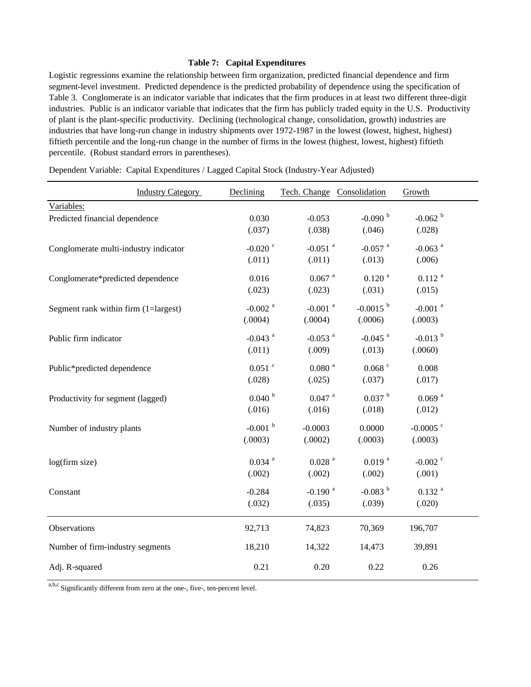### **Table 7: Capital Expenditures**

Logistic regressions examine the relationship between firm organization, predicted financial dependence and firm segment-level investment. Predicted dependence is the predicted probability of dependence using the specification of Table 3. Conglomerate is an indicator variable that indicates that the firm produces in at least two different three-digit industries. Public is an indicator variable that indicates that the firm has publicly traded equity in the U.S. Productivity of plant is the plant-specific productivity. Declining (technological change, consolidation, growth) industries are industries that have long-run change in industry shipments over 1972-1987 in the lowest (lowest, highest, highest) fiftieth percentile and the long-run change in the number of firms in the lowest (highest, lowest, highest) fiftieth percentile. (Robust standard errors in parentheses).

|                                       | <b>Industry Category</b> | Declining             | Tech. Change Consolidation |                        | Growth                 |  |
|---------------------------------------|--------------------------|-----------------------|----------------------------|------------------------|------------------------|--|
| Variables:                            |                          |                       |                            |                        |                        |  |
| Predicted financial dependence        |                          | 0.030                 | $-0.053$                   | $-0.090$ b             | $-0.062$ <sup>b</sup>  |  |
|                                       |                          | (.037)                | (.038)                     | (.046)                 | (.028)                 |  |
| Conglomerate multi-industry indicator |                          | $-0.020$ $\degree$    | $-0.051$ <sup>a</sup>      | $-0.057$ <sup>a</sup>  | $-0.063$ <sup>a</sup>  |  |
|                                       |                          | (.011)                | (.011)                     | (.013)                 | (.006)                 |  |
| Conglomerate*predicted dependence     |                          | 0.016                 | $0.067$ $\,^\mathrm{a}$    | $0.120$ <sup>a</sup>   | $0.112$ <sup>a</sup>   |  |
|                                       |                          | (.023)                | (.023)                     | (.031)                 | (.015)                 |  |
| Segment rank within firm (1=largest)  |                          | $-0.002$ <sup>a</sup> | $-0.001$ <sup>a</sup>      | $-0.0015$ <sup>b</sup> | $-0.001$ <sup>a</sup>  |  |
|                                       |                          | (.0004)               | (.0004)                    | (.0006)                | (.0003)                |  |
| Public firm indicator                 |                          | $-0.043$ <sup>a</sup> | $-0.053$ <sup>a</sup>      | $-0.045$ <sup>a</sup>  | $-0.013$ <sup>b</sup>  |  |
|                                       |                          | (.011)                | (.009)                     | (.013)                 | (.0060)                |  |
| Public*predicted dependence           |                          | $0.051$ $\degree$     | $0.080$ $^{\rm a}$         | $0.068$ $\degree$      | 0.008                  |  |
|                                       |                          | (.028)                | (.025)                     | (.037)                 | (.017)                 |  |
| Productivity for segment (lagged)     |                          | $0.040$ <sup>b</sup>  | $0.047$ <sup>a</sup>       | 0.037 h                | $0.069$ <sup>a</sup>   |  |
|                                       |                          | (.016)                | (.016)                     | (.018)                 | (.012)                 |  |
| Number of industry plants             |                          | $-0.001$ <sup>b</sup> | $-0.0003$                  | 0.0000                 | $-0.0005$ <sup>c</sup> |  |
|                                       |                          | (.0003)               | (.0002)                    | (.0003)                | (.0003)                |  |
| log(firm size)                        |                          | $0.034$ <sup>a</sup>  | $0.028$ <sup>a</sup>       | $0.019$ <sup>a</sup>   | $-0.002$ <sup>c</sup>  |  |
|                                       |                          | (.002)                | (.002)                     | (.002)                 | (.001)                 |  |
| Constant                              |                          | $-0.284$              | $-0.190$ <sup>a</sup>      | $-0.083$ <sup>b</sup>  | $0.132$ <sup>a</sup>   |  |
|                                       |                          | (.032)                | (.035)                     | (.039)                 | (.020)                 |  |
| Observations                          |                          | 92,713                | 74,823                     | 70,369                 | 196,707                |  |
| Number of firm-industry segments      |                          | 18,210                | 14,322                     | 14,473                 | 39,891                 |  |
| Adj. R-squared                        |                          | 0.21                  | 0.20                       | 0.22                   | 0.26                   |  |

Dependent Variable: Capital Expenditures / Lagged Capital Stock (Industry-Year Adjusted)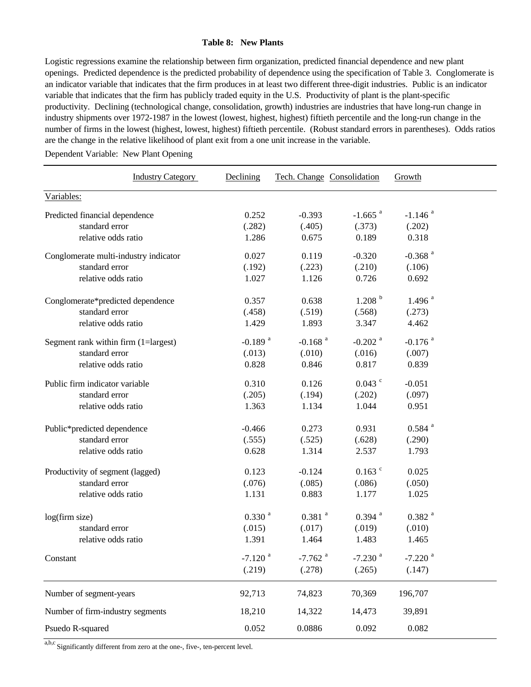### **Table 8: New Plants**

Logistic regressions examine the relationship between firm organization, predicted financial dependence and new plant openings. Predicted dependence is the predicted probability of dependence using the specification of Table 3. Conglomerate is an indicator variable that indicates that the firm produces in at least two different three-digit industries. Public is an indicator variable that indicates that the firm has publicly traded equity in the U.S. Productivity of plant is the plant-specific productivity. Declining (technological change, consolidation, growth) industries are industries that have long-run change in industry shipments over 1972-1987 in the lowest (lowest, highest, highest) fiftieth percentile and the long-run change in the number of firms in the lowest (highest, lowest, highest) fiftieth percentile. (Robust standard errors in parentheses). Odds ratios are the change in the relative likelihood of plant exit from a one unit increase in the variable.

Dependent Variable: New Plant Opening

| <b>Industry Category</b>              | Declining             | Tech. Change Consolidation |                       | Growth                |  |
|---------------------------------------|-----------------------|----------------------------|-----------------------|-----------------------|--|
| Variables:                            |                       |                            |                       |                       |  |
| Predicted financial dependence        | 0.252                 | $-0.393$                   | $-1.665$ <sup>a</sup> | $-1.146$ <sup>a</sup> |  |
| standard error                        | (.282)                | (.405)                     | (.373)                | (.202)                |  |
| relative odds ratio                   | 1.286                 | 0.675                      | 0.189                 | 0.318                 |  |
| Conglomerate multi-industry indicator | 0.027                 | 0.119                      | $-0.320$              | $-0.368$ <sup>a</sup> |  |
| standard error                        | (.192)                | (.223)                     | (.210)                | (.106)                |  |
| relative odds ratio                   | 1.027                 | 1.126                      | 0.726                 | 0.692                 |  |
| Conglomerate*predicted dependence     | 0.357                 | 0.638                      | 1.208 <sup>b</sup>    | $1.496$ <sup>a</sup>  |  |
| standard error                        | (.458)                | (.519)                     | (.568)                | (.273)                |  |
| relative odds ratio                   | 1.429                 | 1.893                      | 3.347                 | 4.462                 |  |
| Segment rank within firm (1=largest)  | $-0.189$ <sup>a</sup> | $-0.168$ <sup>a</sup>      | $-0.202$ <sup>a</sup> | $-0.176$ <sup>a</sup> |  |
| standard error                        | (.013)                | (.010)                     | (.016)                | (.007)                |  |
| relative odds ratio                   | 0.828                 | 0.846                      | 0.817                 | 0.839                 |  |
| Public firm indicator variable        | 0.310                 | 0.126                      | $0.043$ $\degree$     | $-0.051$              |  |
| standard error                        | (.205)                | (.194)                     | (.202)                | (.097)                |  |
| relative odds ratio                   | 1.363                 | 1.134                      | 1.044                 | 0.951                 |  |
| Public*predicted dependence           | $-0.466$              | 0.273                      | 0.931                 | $0.584$ <sup>a</sup>  |  |
| standard error                        | (.555)                | (.525)                     | (.628)                | (.290)                |  |
| relative odds ratio                   | 0.628                 | 1.314                      | 2.537                 | 1.793                 |  |
| Productivity of segment (lagged)      | 0.123                 | $-0.124$                   | $0.163$ $\degree$     | 0.025                 |  |
| standard error                        | (.076)                | (.085)                     | (.086)                | (.050)                |  |
| relative odds ratio                   | 1.131                 | 0.883                      | 1.177                 | 1.025                 |  |
| log(firm size)                        | 0.330 <sup>a</sup>    | $0.381$ <sup>a</sup>       | $0.394$ <sup>a</sup>  | $0.382$ <sup>a</sup>  |  |
| standard error                        | (.015)                | (.017)                     | (.019)                | (.010)                |  |
| relative odds ratio                   | 1.391                 | 1.464                      | 1.483                 | 1.465                 |  |
| Constant                              | $-7.120$ <sup>a</sup> | $-7.762$ <sup>a</sup>      | $-7.230$ <sup>a</sup> | $-7.220$ <sup>a</sup> |  |
|                                       | (.219)                | (.278)                     | (.265)                | (.147)                |  |
| Number of segment-years               | 92,713                | 74,823                     | 70,369                | 196,707               |  |
| Number of firm-industry segments      | 18,210                | 14,322                     | 14,473                | 39,891                |  |
| Psuedo R-squared                      | 0.052                 | 0.0886                     | 0.092                 | 0.082                 |  |